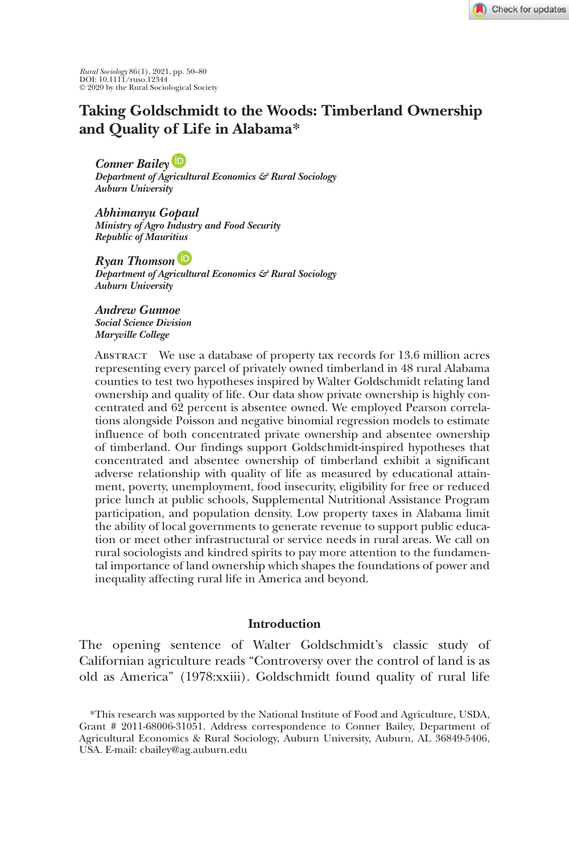Check for updates

*Rural Sociology* 86(1), 2021, pp. 50–80 DOI: 10.1111/ruso.12344 © 2020 by the Rural Sociological Society

# **Taking Goldschmidt to the Woods: Timberland Ownership and Quality of Life in Alabama\***

*Conner Baile[y](https://orcid.org/0000-0002-2804-6938)*

*Department of Agricultural Economics & Rural Sociology Auburn University*

*Abhimanyu Gopaul Ministry of Agro Industry and Food Security Republic of Mauritius*

*Ryan Thomso[n](https://orcid.org/0000-0001-8353-8970) Department of Agricultural Economics & Rural Sociology Auburn University*

*Andrew Gunnoe Social Science Division Maryville College*

Abstract We use a database of property tax records for 13.6 million acres representing every parcel of privately owned timberland in 48 rural Alabama counties to test two hypotheses inspired by Walter Goldschmidt relating land ownership and quality of life. Our data show private ownership is highly concentrated and 62 percent is absentee owned. We employed Pearson correlations alongside Poisson and negative binomial regression models to estimate influence of both concentrated private ownership and absentee ownership of timberland. Our findings support Goldschmidt-inspired hypotheses that concentrated and absentee ownership of timberland exhibit a significant adverse relationship with quality of life as measured by educational attainment, poverty, unemployment, food insecurity, eligibility for free or reduced price lunch at public schools, Supplemental Nutritional Assistance Program participation, and population density. Low property taxes in Alabama limit the ability of local governments to generate revenue to support public education or meet other infrastructural or service needs in rural areas. We call on rural sociologists and kindred spirits to pay more attention to the fundamental importance of land ownership which shapes the foundations of power and inequality affecting rural life in America and beyond.

## **Introduction**

The opening sentence of Walter Goldschmidt's classic study of Californian agriculture reads "Controversy over the control of land is as old as America" (1978:xxiii). Goldschmidt found quality of rural life

<sup>\*</sup>This research was supported by the National Institute of Food and Agriculture, USDA, Grant # 2011-68006-31051. Address correspondence to Conner Bailey, Department of Agricultural Economics & Rural Sociology, Auburn University, Auburn, AL 36849-5406, USA. E-mail: cbailey@ag.auburn.edu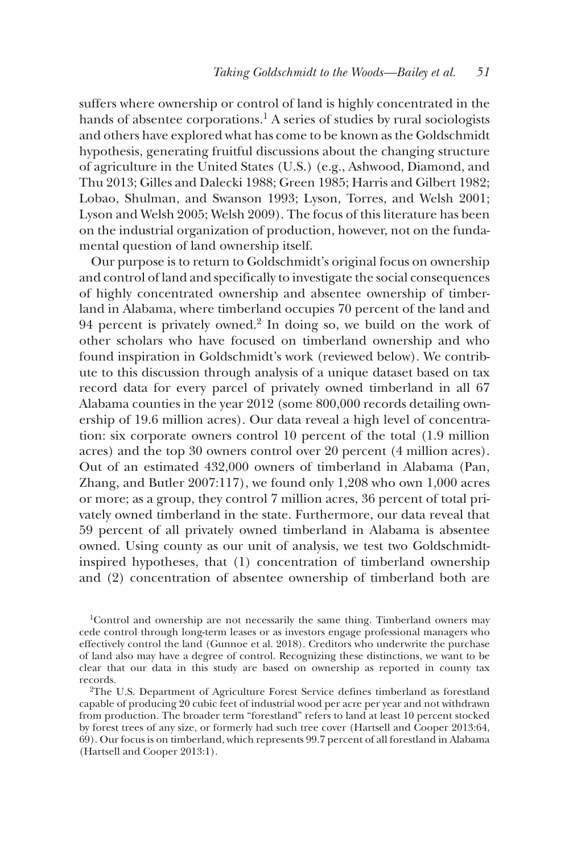suffers where ownership or control of land is highly concentrated in the hands of absentee corporations.<sup>1</sup> A series of studies by rural sociologists and others have explored what has come to be known as the Goldschmidt hypothesis, generating fruitful discussions about the changing structure of agriculture in the United States (U.S.) (e.g., Ashwood, Diamond, and Thu 2013; Gilles and Dalecki 1988; Green 1985; Harris and Gilbert 1982; Lobao, Shulman, and Swanson 1993; Lyson, Torres, and Welsh 2001; Lyson and Welsh 2005; Welsh 2009). The focus of this literature has been on the industrial organization of production, however, not on the fundamental question of land ownership itself.

Our purpose is to return to Goldschmidt's original focus on ownership and control of land and specifically to investigate the social consequences of highly concentrated ownership and absentee ownership of timberland in Alabama, where timberland occupies 70 percent of the land and 94 percent is privately owned. $\frac{2}{3}$  In doing so, we build on the work of other scholars who have focused on timberland ownership and who found inspiration in Goldschmidt's work (reviewed below). We contribute to this discussion through analysis of a unique dataset based on tax record data for every parcel of privately owned timberland in all 67 Alabama counties in the year 2012 (some 800,000 records detailing ownership of 19.6 million acres). Our data reveal a high level of concentration: six corporate owners control 10 percent of the total (1.9 million acres) and the top 30 owners control over 20 percent (4 million acres). Out of an estimated 432,000 owners of timberland in Alabama (Pan, Zhang, and Butler 2007:117), we found only 1,208 who own 1,000 acres or more; as a group, they control 7 million acres, 36 percent of total privately owned timberland in the state. Furthermore, our data reveal that 59 percent of all privately owned timberland in Alabama is absentee owned. Using county as our unit of analysis, we test two Goldschmidtinspired hypotheses, that (1) concentration of timberland ownership and (2) concentration of absentee ownership of timberland both are

1Control and ownership are not necessarily the same thing. Timberland owners may cede control through long-term leases or as investors engage professional managers who effectively control the land (Gunnoe et al. 2018). Creditors who underwrite the purchase of land also may have a degree of control. Recognizing these distinctions, we want to be clear that our data in this study are based on ownership as reported in county tax records.

<sup>2</sup>The U.S. Department of Agriculture Forest Service defines timberland as forestland capable of producing 20 cubic feet of industrial wood per acre per year and not withdrawn from production. The broader term "forestland" refers to land at least 10 percent stocked by forest trees of any size, or formerly had such tree cover (Hartsell and Cooper 2013:64, 69). Our focus is on timberland, which represents 99.7 percent of all forestland in Alabama (Hartsell and Cooper 2013:1).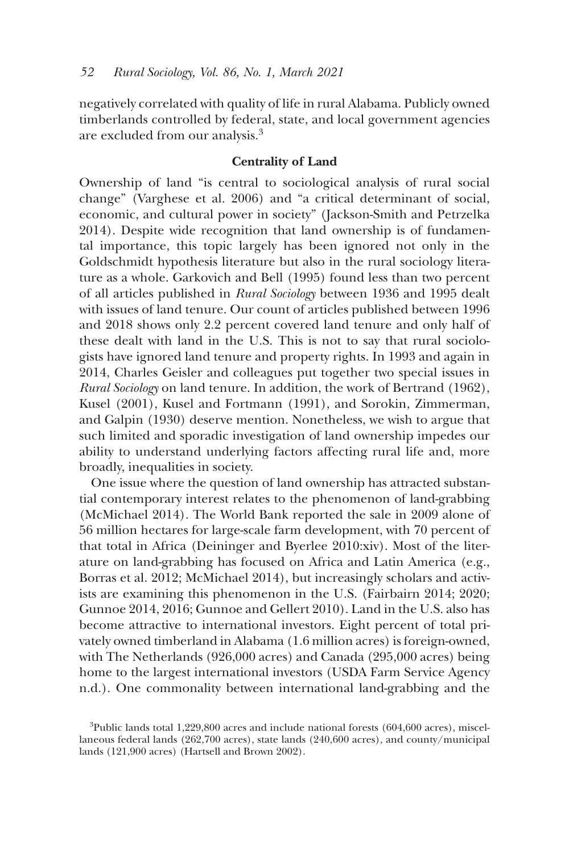negatively correlated with quality of life in rural Alabama. Publicly owned timberlands controlled by federal, state, and local government agencies are excluded from our analysis.<sup>3</sup>

## **Centrality of Land**

Ownership of land "is central to sociological analysis of rural social change" (Varghese et al. 2006) and "a critical determinant of social, economic, and cultural power in society" (Jackson-Smith and Petrzelka 2014). Despite wide recognition that land ownership is of fundamental importance, this topic largely has been ignored not only in the Goldschmidt hypothesis literature but also in the rural sociology literature as a whole. Garkovich and Bell (1995) found less than two percent of all articles published in *Rural Sociology* between 1936 and 1995 dealt with issues of land tenure. Our count of articles published between 1996 and 2018 shows only 2.2 percent covered land tenure and only half of these dealt with land in the U.S. This is not to say that rural sociologists have ignored land tenure and property rights. In 1993 and again in 2014, Charles Geisler and colleagues put together two special issues in *Rural Sociology* on land tenure. In addition, the work of Bertrand (1962), Kusel (2001), Kusel and Fortmann (1991), and Sorokin, Zimmerman, and Galpin (1930) deserve mention. Nonetheless, we wish to argue that such limited and sporadic investigation of land ownership impedes our ability to understand underlying factors affecting rural life and, more broadly, inequalities in society.

One issue where the question of land ownership has attracted substantial contemporary interest relates to the phenomenon of land-grabbing (McMichael 2014). The World Bank reported the sale in 2009 alone of 56 million hectares for large-scale farm development, with 70 percent of that total in Africa (Deininger and Byerlee 2010:xiv). Most of the literature on land-grabbing has focused on Africa and Latin America (e.g., Borras et al. 2012; McMichael 2014), but increasingly scholars and activists are examining this phenomenon in the U.S. (Fairbairn 2014; 2020; Gunnoe 2014, 2016; Gunnoe and Gellert 2010). Land in the U.S. also has become attractive to international investors. Eight percent of total privately owned timberland in Alabama (1.6 million acres) is foreign-owned, with The Netherlands (926,000 acres) and Canada (295,000 acres) being home to the largest international investors (USDA Farm Service Agency n.d.). One commonality between international land-grabbing and the

 $3$ Public lands total 1,229,800 acres and include national forests (604,600 acres), miscellaneous federal lands (262,700 acres), state lands (240,600 acres), and county/municipal lands (121,900 acres) (Hartsell and Brown 2002).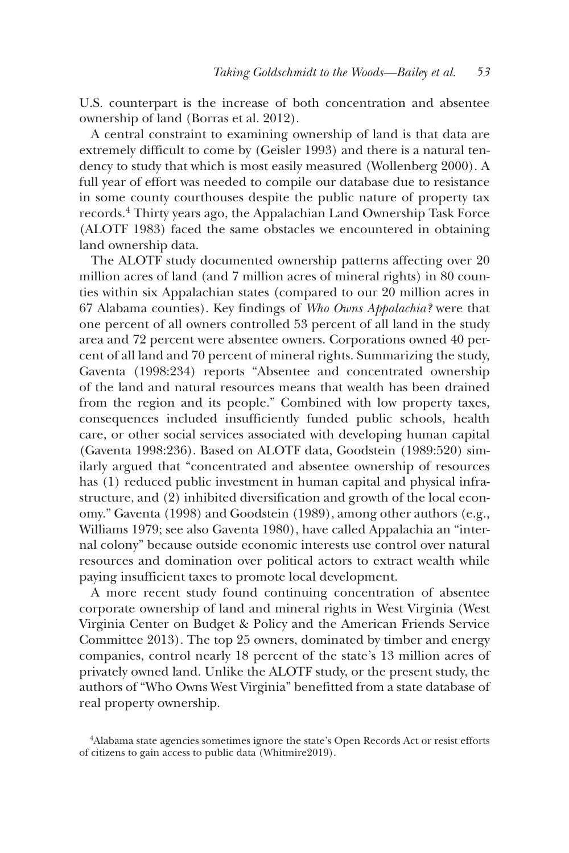U.S. counterpart is the increase of both concentration and absentee ownership of land (Borras et al. 2012).

A central constraint to examining ownership of land is that data are extremely difficult to come by (Geisler 1993) and there is a natural tendency to study that which is most easily measured (Wollenberg 2000). A full year of effort was needed to compile our database due to resistance in some county courthouses despite the public nature of property tax records.4 Thirty years ago, the Appalachian Land Ownership Task Force (ALOTF 1983) faced the same obstacles we encountered in obtaining land ownership data.

The ALOTF study documented ownership patterns affecting over 20 million acres of land (and 7 million acres of mineral rights) in 80 counties within six Appalachian states (compared to our 20 million acres in 67 Alabama counties). Key findings of *Who Owns Appalachia?* were that one percent of all owners controlled 53 percent of all land in the study area and 72 percent were absentee owners. Corporations owned 40 percent of all land and 70 percent of mineral rights. Summarizing the study, Gaventa (1998:234) reports "Absentee and concentrated ownership of the land and natural resources means that wealth has been drained from the region and its people." Combined with low property taxes, consequences included insufficiently funded public schools, health care, or other social services associated with developing human capital (Gaventa 1998:236). Based on ALOTF data, Goodstein (1989:520) similarly argued that "concentrated and absentee ownership of resources has (1) reduced public investment in human capital and physical infrastructure, and (2) inhibited diversification and growth of the local economy." Gaventa (1998) and Goodstein (1989), among other authors (e.g., Williams 1979; see also Gaventa 1980), have called Appalachia an "internal colony" because outside economic interests use control over natural resources and domination over political actors to extract wealth while paying insufficient taxes to promote local development.

A more recent study found continuing concentration of absentee corporate ownership of land and mineral rights in West Virginia (West Virginia Center on Budget & Policy and the American Friends Service Committee 2013). The top 25 owners, dominated by timber and energy companies, control nearly 18 percent of the state's 13 million acres of privately owned land. Unlike the ALOTF study, or the present study, the authors of "Who Owns West Virginia" benefitted from a state database of real property ownership.

<sup>4</sup>Alabama state agencies sometimes ignore the state's Open Records Act or resist efforts of citizens to gain access to public data (Whitmire2019).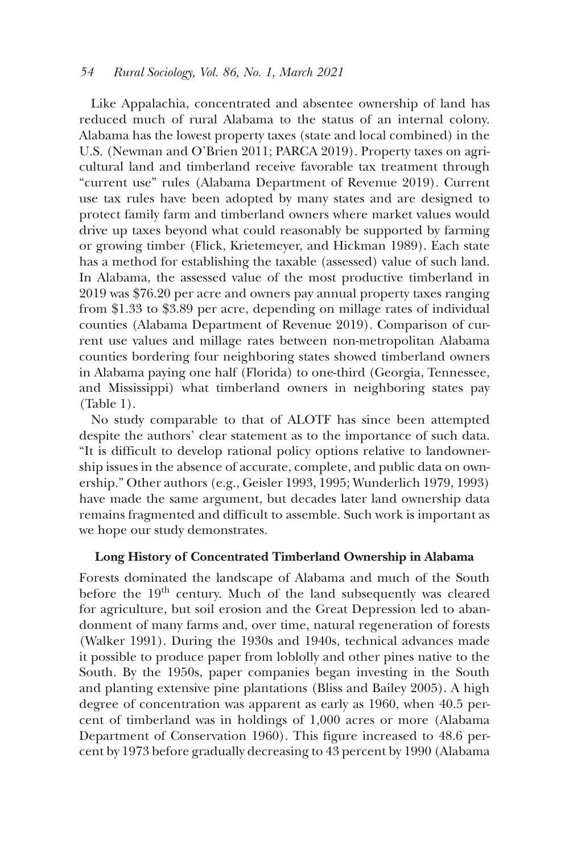Like Appalachia, concentrated and absentee ownership of land has reduced much of rural Alabama to the status of an internal colony. Alabama has the lowest property taxes (state and local combined) in the U.S. (Newman and O'Brien 2011; PARCA 2019). Property taxes on agricultural land and timberland receive favorable tax treatment through "current use" rules (Alabama Department of Revenue 2019). Current use tax rules have been adopted by many states and are designed to protect family farm and timberland owners where market values would drive up taxes beyond what could reasonably be supported by farming or growing timber (Flick, Krietemeyer, and Hickman 1989). Each state has a method for establishing the taxable (assessed) value of such land. In Alabama, the assessed value of the most productive timberland in 2019 was \$76.20 per acre and owners pay annual property taxes ranging from \$1.33 to \$3.89 per acre, depending on millage rates of individual counties (Alabama Department of Revenue 2019). Comparison of current use values and millage rates between non-metropolitan Alabama counties bordering four neighboring states showed timberland owners in Alabama paying one half (Florida) to one-third (Georgia, Tennessee, and Mississippi) what timberland owners in neighboring states pay (Table 1).

No study comparable to that of ALOTF has since been attempted despite the authors' clear statement as to the importance of such data. "It is difficult to develop rational policy options relative to landownership issues in the absence of accurate, complete, and public data on ownership." Other authors (e.g., Geisler 1993, 1995; Wunderlich 1979, 1993) have made the same argument, but decades later land ownership data remains fragmented and difficult to assemble. Such work is important as we hope our study demonstrates.

## **Long History of Concentrated Timberland Ownership in Alabama**

Forests dominated the landscape of Alabama and much of the South before the 19<sup>th</sup> century. Much of the land subsequently was cleared for agriculture, but soil erosion and the Great Depression led to abandonment of many farms and, over time, natural regeneration of forests (Walker 1991). During the 1930s and 1940s, technical advances made it possible to produce paper from loblolly and other pines native to the South. By the 1950s, paper companies began investing in the South and planting extensive pine plantations (Bliss and Bailey 2005). A high degree of concentration was apparent as early as 1960, when 40.5 percent of timberland was in holdings of 1,000 acres or more (Alabama Department of Conservation 1960). This figure increased to 48.6 percent by 1973 before gradually decreasing to 43 percent by 1990 (Alabama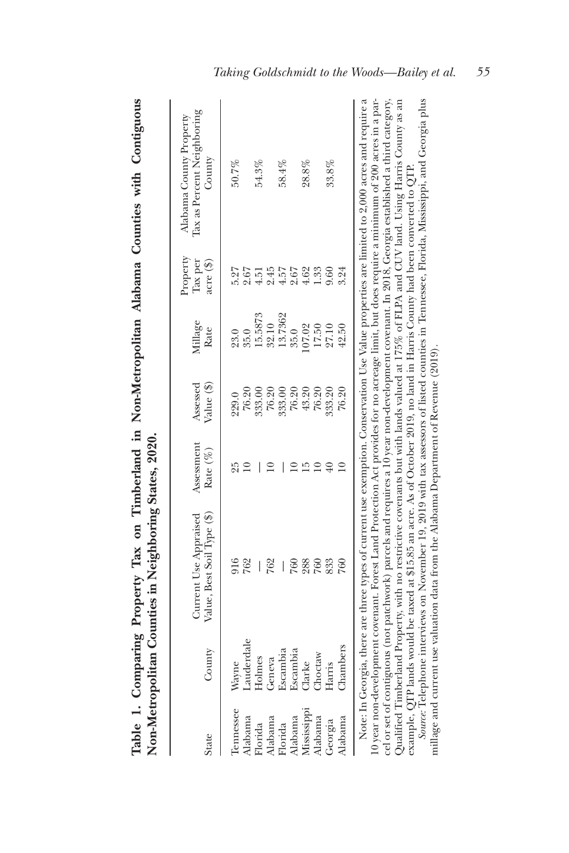| $\vdots$           |             |
|--------------------|-------------|
|                    |             |
| See of             |             |
|                    |             |
|                    |             |
|                    |             |
|                    | $\sim$<br>ļ |
|                    |             |
| i                  |             |
| $ax \text{ on } x$ |             |
|                    |             |
| j<br>I             |             |
|                    |             |
| l                  |             |
|                    |             |
| į                  |             |
|                    |             |
| Ĩ.                 | I           |
| l                  |             |
| י<br>ו<br>Ĕ<br>E   | י<br>ו      |

| State                | County             | Value, Best Soil Type (\$)<br>Current Use Appraised                                                                                              | Assessment<br>Rate (%) | Value (\$)<br>Assessed | Millage<br>Rate  | Property<br>acre (\$)<br>fax per | Iax as Percent Neighboring<br>Alabama County Property<br>County                                                                                                                                                                                                                               |
|----------------------|--------------------|--------------------------------------------------------------------------------------------------------------------------------------------------|------------------------|------------------------|------------------|----------------------------------|-----------------------------------------------------------------------------------------------------------------------------------------------------------------------------------------------------------------------------------------------------------------------------------------------|
| Tennessee<br>Alabama | auderdale<br>Wayne | 762                                                                                                                                              | 29                     | 76.20                  | 35.0             | 2.67                             | 50.7%                                                                                                                                                                                                                                                                                         |
| Florida              | Holmes             | 762                                                                                                                                              |                        | 76.20<br>333.00        | 15.5873          | 51                               | 54.3%                                                                                                                                                                                                                                                                                         |
| Alabama<br>Florida   | Escambia<br>Geneva |                                                                                                                                                  |                        | 333.00                 | 13.7362<br>32.10 | 2.45<br>1.57                     | 58.4%                                                                                                                                                                                                                                                                                         |
| Alabama              | Escambia           | 760                                                                                                                                              |                        | 76.20                  | 35.0             | 2.67                             |                                                                                                                                                                                                                                                                                               |
| Mississippi          | <b>Narke</b>       | 288                                                                                                                                              | īΟ                     | $43.20\,$              | 107.02           | 4.62                             | 28.8%                                                                                                                                                                                                                                                                                         |
| Alabama              | Choctaw            | 760                                                                                                                                              |                        | 76.20                  | 17.50            | 1.33                             |                                                                                                                                                                                                                                                                                               |
| Georgia              | Harris             | 833                                                                                                                                              |                        | 333.20                 | 27.10            | 0.60                             | $33.8\%$                                                                                                                                                                                                                                                                                      |
| Alabama              | Chambers           | 760                                                                                                                                              |                        | 76.20                  | 42.50            | 3.24                             |                                                                                                                                                                                                                                                                                               |
|                      |                    | cel or set of contiguous (not parchwork) parcels and requires a 10 year non-development covenant. In 2018, Georgia established a third category. |                        |                        |                  |                                  | 10 year non-development covenant. Forest Land Protection Act provides for no acreage limit, but does require a minimum of 200 acres in a par-<br>Note: In Georgia, there are three types of current use exemption. Conservation Use Value properties are limited to 2,000 acres and require a |

 $\overline{1}$ cel or set of contiguous (not patchwork) parcels and requires a 10 year non-development covenant. In 2018, Georgia established a third category, Note: In Georgia, there are three types of current use exemption. Conservation Use Value properties are limited to 2,000 acres and require a cc. a secure consideration of paramons, parecess and requires a ray beam according to the according to consider<br>Qualified Timberland Property, with no restrictive covenants but with lands valued at 175% of FLPA and CUV lan Qualified Timberland Property, with no restrictive covenants but with lands valued at 175% of FLPA and CUV land. Using Harris County as an example, QTP lands would be taxed at \$15.85 an acre. As of October 2019, no land in Harris County had been converted to QTP. example, QTP lands would be taxed at \$15.85 an acre. As of October 2019, no land in Harris County had been converted to QTP.

Source: Telephone interviews on November 19, 2019 with tax assessors of listed counties in Tennessee, Florida, Mississippi, and Georgia plus *Source:* Telephone interviews on November 19, 2019 with tax assessors of listed counties in Tennessee, Florida, Mississippi, and Georgia plus millage and current use valuation data from the Alabama Department of Revenue (2019). millage and current use valuation data from the Alabama Department of Revenue (2019).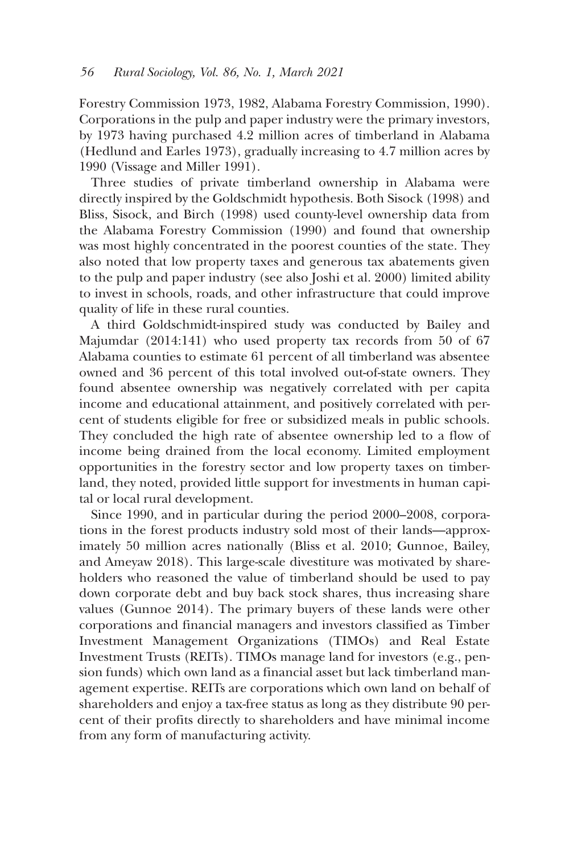Forestry Commission 1973, 1982, Alabama Forestry Commission, 1990). Corporations in the pulp and paper industry were the primary investors, by 1973 having purchased 4.2 million acres of timberland in Alabama (Hedlund and Earles 1973), gradually increasing to 4.7 million acres by 1990 (Vissage and Miller 1991).

Three studies of private timberland ownership in Alabama were directly inspired by the Goldschmidt hypothesis. Both Sisock (1998) and Bliss, Sisock, and Birch (1998) used county-level ownership data from the Alabama Forestry Commission (1990) and found that ownership was most highly concentrated in the poorest counties of the state. They also noted that low property taxes and generous tax abatements given to the pulp and paper industry (see also Joshi et al. 2000) limited ability to invest in schools, roads, and other infrastructure that could improve quality of life in these rural counties.

A third Goldschmidt-inspired study was conducted by Bailey and Majumdar (2014:141) who used property tax records from 50 of 67 Alabama counties to estimate 61 percent of all timberland was absentee owned and 36 percent of this total involved out-of-state owners. They found absentee ownership was negatively correlated with per capita income and educational attainment, and positively correlated with percent of students eligible for free or subsidized meals in public schools. They concluded the high rate of absentee ownership led to a flow of income being drained from the local economy. Limited employment opportunities in the forestry sector and low property taxes on timberland, they noted, provided little support for investments in human capital or local rural development.

Since 1990, and in particular during the period 2000–2008, corporations in the forest products industry sold most of their lands—approximately 50 million acres nationally (Bliss et al. 2010; Gunnoe, Bailey, and Ameyaw 2018). This large-scale divestiture was motivated by shareholders who reasoned the value of timberland should be used to pay down corporate debt and buy back stock shares, thus increasing share values (Gunnoe 2014). The primary buyers of these lands were other corporations and financial managers and investors classified as Timber Investment Management Organizations (TIMOs) and Real Estate Investment Trusts (REITs). TIMOs manage land for investors (e.g., pension funds) which own land as a financial asset but lack timberland management expertise. REITs are corporations which own land on behalf of shareholders and enjoy a tax-free status as long as they distribute 90 percent of their profits directly to shareholders and have minimal income from any form of manufacturing activity.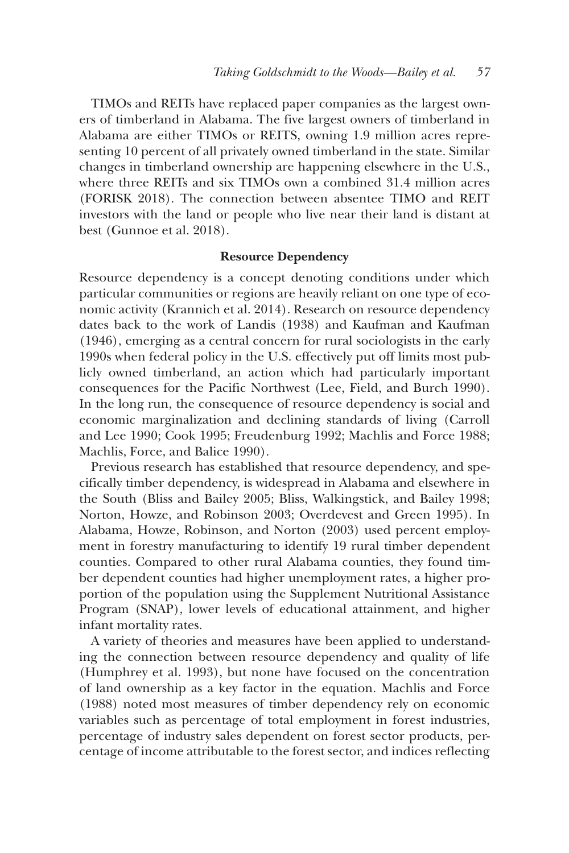TIMOs and REITs have replaced paper companies as the largest owners of timberland in Alabama. The five largest owners of timberland in Alabama are either TIMOs or REITS, owning 1.9 million acres representing 10 percent of all privately owned timberland in the state. Similar changes in timberland ownership are happening elsewhere in the U.S., where three REITs and six TIMOs own a combined 31.4 million acres (FORISK 2018). The connection between absentee TIMO and REIT investors with the land or people who live near their land is distant at best (Gunnoe et al. 2018).

## **Resource Dependency**

Resource dependency is a concept denoting conditions under which particular communities or regions are heavily reliant on one type of economic activity (Krannich et al. 2014). Research on resource dependency dates back to the work of Landis (1938) and Kaufman and Kaufman (1946), emerging as a central concern for rural sociologists in the early 1990s when federal policy in the U.S. effectively put off limits most publicly owned timberland, an action which had particularly important consequences for the Pacific Northwest (Lee, Field, and Burch 1990). In the long run, the consequence of resource dependency is social and economic marginalization and declining standards of living (Carroll and Lee 1990; Cook 1995; Freudenburg 1992; Machlis and Force 1988; Machlis, Force, and Balice 1990).

Previous research has established that resource dependency, and specifically timber dependency, is widespread in Alabama and elsewhere in the South (Bliss and Bailey 2005; Bliss, Walkingstick, and Bailey 1998; Norton, Howze, and Robinson 2003; Overdevest and Green 1995). In Alabama, Howze, Robinson, and Norton (2003) used percent employment in forestry manufacturing to identify 19 rural timber dependent counties. Compared to other rural Alabama counties, they found timber dependent counties had higher unemployment rates, a higher proportion of the population using the Supplement Nutritional Assistance Program (SNAP), lower levels of educational attainment, and higher infant mortality rates.

A variety of theories and measures have been applied to understanding the connection between resource dependency and quality of life (Humphrey et al. 1993), but none have focused on the concentration of land ownership as a key factor in the equation. Machlis and Force (1988) noted most measures of timber dependency rely on economic variables such as percentage of total employment in forest industries, percentage of industry sales dependent on forest sector products, percentage of income attributable to the forest sector, and indices reflecting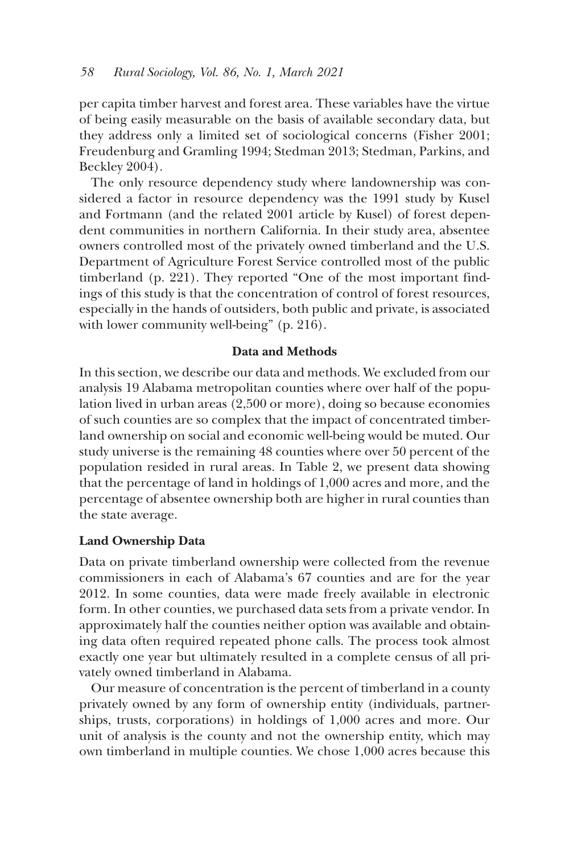per capita timber harvest and forest area. These variables have the virtue of being easily measurable on the basis of available secondary data, but they address only a limited set of sociological concerns (Fisher 2001; Freudenburg and Gramling 1994; Stedman 2013; Stedman, Parkins, and Beckley 2004).

The only resource dependency study where landownership was considered a factor in resource dependency was the 1991 study by Kusel and Fortmann (and the related 2001 article by Kusel) of forest dependent communities in northern California. In their study area, absentee owners controlled most of the privately owned timberland and the U.S. Department of Agriculture Forest Service controlled most of the public timberland (p. 221). They reported "One of the most important findings of this study is that the concentration of control of forest resources, especially in the hands of outsiders, both public and private, is associated with lower community well-being" (p. 216).

## **Data and Methods**

In this section, we describe our data and methods. We excluded from our analysis 19 Alabama metropolitan counties where over half of the population lived in urban areas (2,500 or more), doing so because economies of such counties are so complex that the impact of concentrated timberland ownership on social and economic well-being would be muted. Our study universe is the remaining 48 counties where over 50 percent of the population resided in rural areas. In Table 2, we present data showing that the percentage of land in holdings of 1,000 acres and more, and the percentage of absentee ownership both are higher in rural counties than the state average.

## **Land Ownership Data**

Data on private timberland ownership were collected from the revenue commissioners in each of Alabama's 67 counties and are for the year 2012. In some counties, data were made freely available in electronic form. In other counties, we purchased data sets from a private vendor. In approximately half the counties neither option was available and obtaining data often required repeated phone calls. The process took almost exactly one year but ultimately resulted in a complete census of all privately owned timberland in Alabama.

Our measure of concentration is the percent of timberland in a county privately owned by any form of ownership entity (individuals, partnerships, trusts, corporations) in holdings of 1,000 acres and more. Our unit of analysis is the county and not the ownership entity, which may own timberland in multiple counties. We chose 1,000 acres because this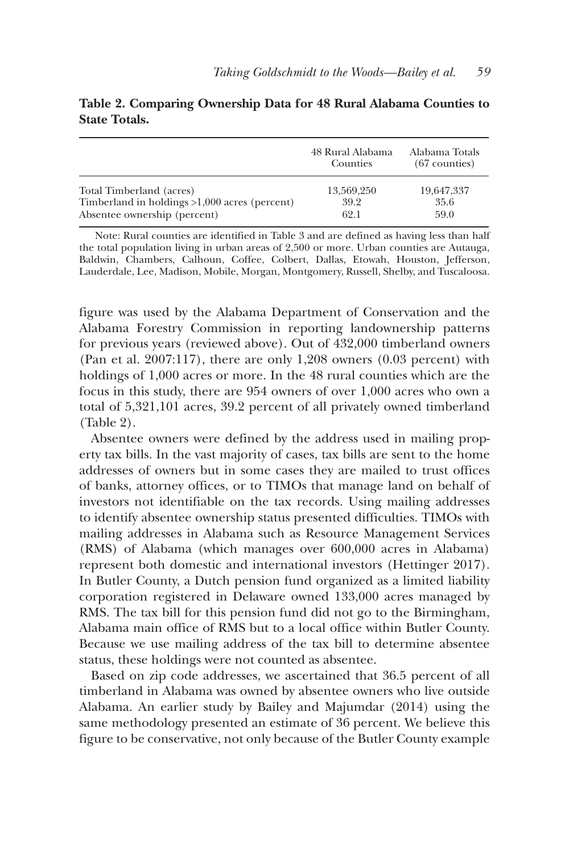|                                                 | 48 Rural Alabama<br>Counties | Alabama Totals<br>$(67$ counties) |
|-------------------------------------------------|------------------------------|-----------------------------------|
| Total Timberland (acres)                        | 13.569.250                   | 19,647,337                        |
| Timberland in holdings $>1,000$ acres (percent) | 39.2                         | 35.6                              |
| Absentee ownership (percent)                    | 62.1                         | 59.0                              |

## **Table 2. Comparing Ownership Data for 48 Rural Alabama Counties to State Totals.**

Note: Rural counties are identified in Table 3 and are defined as having less than half the total population living in urban areas of 2,500 or more. Urban counties are Autauga, Baldwin, Chambers, Calhoun, Coffee, Colbert, Dallas, Etowah, Houston, Jefferson, Lauderdale, Lee, Madison, Mobile, Morgan, Montgomery, Russell, Shelby, and Tuscaloosa.

figure was used by the Alabama Department of Conservation and the Alabama Forestry Commission in reporting landownership patterns for previous years (reviewed above). Out of 432,000 timberland owners (Pan et al. 2007:117), there are only 1,208 owners (0.03 percent) with holdings of 1,000 acres or more. In the 48 rural counties which are the focus in this study, there are 954 owners of over 1,000 acres who own a total of 5,321,101 acres, 39.2 percent of all privately owned timberland (Table 2).

Absentee owners were defined by the address used in mailing property tax bills. In the vast majority of cases, tax bills are sent to the home addresses of owners but in some cases they are mailed to trust offices of banks, attorney offices, or to TIMOs that manage land on behalf of investors not identifiable on the tax records. Using mailing addresses to identify absentee ownership status presented difficulties. TIMOs with mailing addresses in Alabama such as Resource Management Services (RMS) of Alabama (which manages over 600,000 acres in Alabama) represent both domestic and international investors (Hettinger 2017). In Butler County, a Dutch pension fund organized as a limited liability corporation registered in Delaware owned 133,000 acres managed by RMS. The tax bill for this pension fund did not go to the Birmingham, Alabama main office of RMS but to a local office within Butler County. Because we use mailing address of the tax bill to determine absentee status, these holdings were not counted as absentee.

Based on zip code addresses, we ascertained that 36.5 percent of all timberland in Alabama was owned by absentee owners who live outside Alabama. An earlier study by Bailey and Majumdar (2014) using the same methodology presented an estimate of 36 percent. We believe this figure to be conservative, not only because of the Butler County example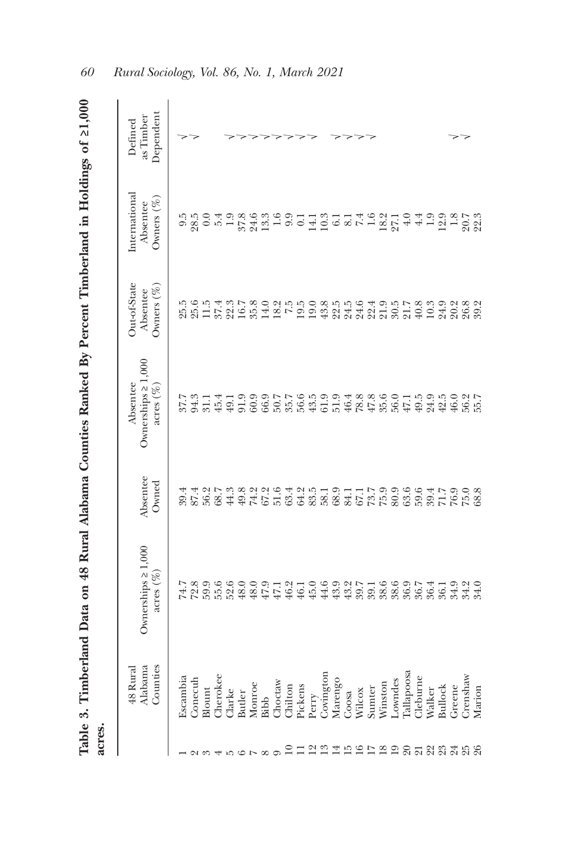| acres.                        |                                                                 |                                          |                              | Table 3. Timberland Data on 48 Rural Alabama Counties Ranked By Percent Timberland in Holdings of 21,000 |                                                                                                      |                                            |                                   |
|-------------------------------|-----------------------------------------------------------------|------------------------------------------|------------------------------|----------------------------------------------------------------------------------------------------------|------------------------------------------------------------------------------------------------------|--------------------------------------------|-----------------------------------|
|                               | Counties<br>Alabama<br>48 Rural                                 | Ownerships $\geq 1,000$<br>$\arccos(\%)$ | Absentee<br>Owned            | Ownerships $\geq 1,000$<br>Absentee<br>$\arccos(\%)$                                                     | Out-of-State<br>Owners $(\%)$<br>Absentee                                                            | International<br>Owners $(\%)$<br>Absentee | Dependent<br>as Timber<br>Defined |
|                               | Escambia                                                        |                                          |                              |                                                                                                          |                                                                                                      |                                            |                                   |
|                               |                                                                 |                                          |                              |                                                                                                          |                                                                                                      |                                            |                                   |
|                               | $\begin{array}{ll} \text{Conecub} \\ \text{Blount} \end{array}$ | $74.89600$<br>$74.89500$<br>$74.8500$    | 30.14<br>30.15<br>30.15      | $27.31419$<br>$27.4919$<br>$27.591$                                                                      | 221427<br>2215225                                                                                    |                                            |                                   |
|                               | Cherokee                                                        |                                          |                              |                                                                                                          |                                                                                                      |                                            |                                   |
|                               | <b>Clarke</b>                                                   |                                          | 68.7<br>44.3                 |                                                                                                          |                                                                                                      |                                            |                                   |
|                               | Butler                                                          |                                          |                              |                                                                                                          |                                                                                                      |                                            |                                   |
|                               | Monroe                                                          |                                          |                              |                                                                                                          |                                                                                                      |                                            |                                   |
|                               | Bibb                                                            | $45.9$<br>$47.1$<br>$46.1$<br>$46.1$     | 8225642<br>845584            | 0.0077.009.918.8                                                                                         | $\begin{array}{c} 35.8 \\ 14.0 \\ 19.5 \\ 19.5 \\ \end{array}$                                       |                                            |                                   |
|                               | Choctaw                                                         |                                          |                              |                                                                                                          |                                                                                                      |                                            |                                   |
|                               |                                                                 |                                          |                              |                                                                                                          |                                                                                                      |                                            |                                   |
|                               | Chilton<br>Pickens                                              |                                          |                              |                                                                                                          |                                                                                                      |                                            |                                   |
|                               | Perry                                                           | $45.0\,$                                 |                              |                                                                                                          |                                                                                                      |                                            |                                   |
|                               | Covington<br>Marengo                                            |                                          | 2219711799666<br>22257599666 |                                                                                                          | 0.03556<br>0.3354.6<br>0.334.6                                                                       |                                            |                                   |
|                               |                                                                 | $49.20$<br>$49.30$<br>$49.30$            |                              |                                                                                                          |                                                                                                      |                                            |                                   |
|                               | Coosa                                                           |                                          |                              |                                                                                                          |                                                                                                      |                                            |                                   |
|                               | Wilcox                                                          |                                          |                              |                                                                                                          |                                                                                                      |                                            |                                   |
|                               | Sumter                                                          |                                          |                              |                                                                                                          |                                                                                                      |                                            |                                   |
|                               | Winston                                                         | 6600174<br>888888                        |                              | 55015955                                                                                                 | $\begin{array}{c} 4.9 \\ 2.1 \\ 3.6 \\ 4.9 \\ 5.8 \\ 7.7 \\ 8.9 \\ 1.8 \\ 9.3 \\ 4.9 \\ \end{array}$ |                                            |                                   |
|                               | Lowndes                                                         |                                          |                              |                                                                                                          |                                                                                                      |                                            |                                   |
|                               | <b>Callapoosa</b>                                               |                                          |                              |                                                                                                          |                                                                                                      |                                            |                                   |
|                               | <b>Neburne</b>                                                  |                                          |                              |                                                                                                          |                                                                                                      |                                            |                                   |
|                               | Walker                                                          |                                          |                              |                                                                                                          | 10.3                                                                                                 | $4.4$<br>1.9                               |                                   |
|                               | <b>Bullock</b>                                                  |                                          |                              |                                                                                                          | 24.9                                                                                                 |                                            |                                   |
|                               | Greene                                                          |                                          |                              |                                                                                                          |                                                                                                      |                                            |                                   |
| 21 21 22 22 23 23 23 23 23 24 | Crenshaw                                                        | 56.1<br>SS<br>35.34.0                    | 89.15<br>71.768<br>88.17     | 46.9<br>56.7<br>55.7                                                                                     |                                                                                                      | $2.38$<br>$-2.58$<br>$-2.58$               |                                   |
|                               | Marion                                                          |                                          |                              |                                                                                                          |                                                                                                      |                                            |                                   |

Table 3. Timberland Data on 48 Rural Alabama Counties Ranked By Percent Timberland in Holdings of 21,000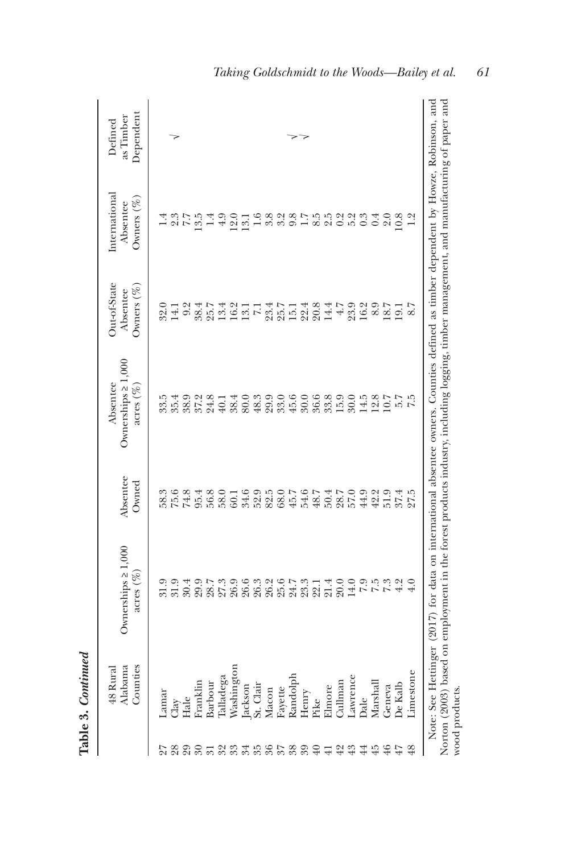|                 | Counties<br>Alabama<br>48 Rural | Ownerships $\geq 1,000$<br>acres $(\%)$                                                                                                                                                                                                                                       | Absentee<br>Owned | Ownerships $\geq 1,000$<br>Absentee<br>$\arccos(\%)$ | Out-of-State<br>Owners $(\%$<br>Absentee   | International<br>Owners $(\%)$<br>Absentee | Dependent<br>as Timber<br>Defined |
|-----------------|---------------------------------|-------------------------------------------------------------------------------------------------------------------------------------------------------------------------------------------------------------------------------------------------------------------------------|-------------------|------------------------------------------------------|--------------------------------------------|--------------------------------------------|-----------------------------------|
|                 | amar<br>$\Box$ ay               | 31.9                                                                                                                                                                                                                                                                          | 58.3<br>75.6      | 33.5<br>35.4                                         | 32.0<br>14.1                               | 2.3                                        |                                   |
| 29              | Hale                            | 30.4                                                                                                                                                                                                                                                                          | 74.8              | 38.9                                                 | 9.2                                        | $\ddot{\cdot}$<br>$\Gamma$                 |                                   |
|                 | Franklin                        | 29.9                                                                                                                                                                                                                                                                          | 95.4              | 37.2                                                 | 38.4                                       | 3.5                                        |                                   |
| $\overline{31}$ | Barbour                         | 28.7                                                                                                                                                                                                                                                                          | 56.8              | 24.8                                                 | 25.7                                       | 1.4                                        |                                   |
| ಜ ಜ             | Talladega                       | 27.3                                                                                                                                                                                                                                                                          | 58.0              | $40.1\,$                                             | 13.4                                       | $^{4.9}$                                   |                                   |
|                 | Nashington                      | 26.9                                                                                                                                                                                                                                                                          | 60.1              | 38.4                                                 | 16.2                                       | 12.0                                       |                                   |
| 24              | ackson                          | 26.6                                                                                                                                                                                                                                                                          | 34.6              | 80.0                                                 | $\begin{array}{c} 13.1 \\ 7.1 \end{array}$ | 13.1                                       |                                   |
|                 | St. Clair                       | 26.3                                                                                                                                                                                                                                                                          | 52.9              | $48.3$                                               |                                            | 1.6                                        |                                   |
|                 | Macon                           | 26.2                                                                                                                                                                                                                                                                          | 82.5              | 29.9                                                 |                                            | 3.8                                        |                                   |
| 358             | Fayette                         | 25.6                                                                                                                                                                                                                                                                          | 68.0              | 33.0                                                 | $23.7$<br>$25.7$<br>$15.1$                 | 3.2                                        |                                   |
|                 | Randolph                        | 24.7                                                                                                                                                                                                                                                                          | 45.7              | 45.6                                                 |                                            | 9.8                                        |                                   |
| 99              | Henry                           | 23.3                                                                                                                                                                                                                                                                          | 54.6              |                                                      |                                            | 1.7                                        |                                   |
| ₽               | rike                            | 22.1                                                                                                                                                                                                                                                                          | 48.7              | 30.0<br>36.6                                         | $22.4$<br>20.8                             | 8.5                                        |                                   |
|                 | Elmore                          | 21.4                                                                                                                                                                                                                                                                          | 50.4              |                                                      |                                            |                                            |                                   |
| $^{42}$         | Cullman                         | 20.0                                                                                                                                                                                                                                                                          | 28.7<br>57.0      | $33.8$<br>15.9                                       | $14.4$<br>$4.7$                            | 2.0<br>2.0<br>2.0<br>2.0                   |                                   |
| $\mathfrak{L}$  | awrence                         | 14.0                                                                                                                                                                                                                                                                          |                   | 30.0                                                 | 23.9                                       |                                            |                                   |
| 44              | <b>Dale</b>                     |                                                                                                                                                                                                                                                                               | 44.9              | 14.5                                                 | 16.2                                       | 0.3                                        |                                   |
| 元               | Marshall                        | 7.5                                                                                                                                                                                                                                                                           | 42.2              | 12.8                                                 | 8.9                                        | 0.4                                        |                                   |
| $\rm ^{4}$      | Geneva                          | 7.3                                                                                                                                                                                                                                                                           | 51.9              | 10.7                                                 | 18.7                                       | 2.0                                        |                                   |
| 47              | <b>De Kalb</b>                  | 4.2                                                                                                                                                                                                                                                                           | 37.4              | 5.7                                                  | 19.1                                       | 10.8                                       |                                   |
| 48              | Limestone                       |                                                                                                                                                                                                                                                                               | 27.5              |                                                      | 8.7                                        | 1.2                                        |                                   |
|                 | wood products.                  | Note: See Hettinger (2017) for data on international absentee owners. Counties defined as timber dependent by Howze, Robinson, and<br>Norton (2003) based on employment in the forest products industry, including logging, timber management, and manufacturing of paper and |                   |                                                      |                                            |                                            |                                   |

*Taking Goldschmidt to the Woods—Bailey et al. 61* Norton (2003) based on employment in the forest products industry, including logging, timber management, and manufacturing of paper and

**Table 3.**  *Continued*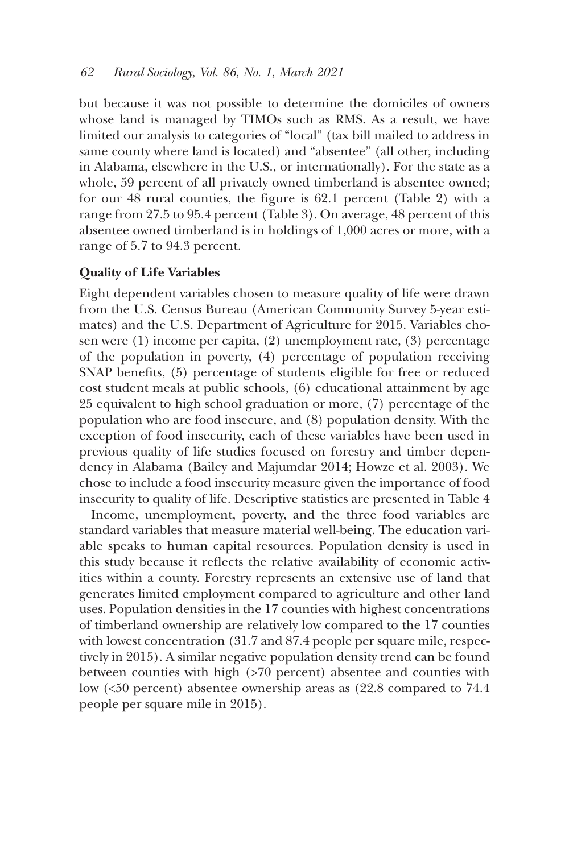but because it was not possible to determine the domiciles of owners whose land is managed by TIMOs such as RMS. As a result, we have limited our analysis to categories of "local" (tax bill mailed to address in same county where land is located) and "absentee" (all other, including in Alabama, elsewhere in the U.S., or internationally). For the state as a whole, 59 percent of all privately owned timberland is absentee owned; for our 48 rural counties, the figure is 62.1 percent (Table 2) with a range from 27.5 to 95.4 percent (Table 3). On average, 48 percent of this absentee owned timberland is in holdings of 1,000 acres or more, with a range of 5.7 to 94.3 percent.

## **Quality of Life Variables**

Eight dependent variables chosen to measure quality of life were drawn from the U.S. Census Bureau (American Community Survey 5-year estimates) and the U.S. Department of Agriculture for 2015. Variables chosen were (1) income per capita, (2) unemployment rate, (3) percentage of the population in poverty, (4) percentage of population receiving SNAP benefits, (5) percentage of students eligible for free or reduced cost student meals at public schools, (6) educational attainment by age 25 equivalent to high school graduation or more, (7) percentage of the population who are food insecure, and (8) population density. With the exception of food insecurity, each of these variables have been used in previous quality of life studies focused on forestry and timber dependency in Alabama (Bailey and Majumdar 2014; Howze et al. 2003). We chose to include a food insecurity measure given the importance of food insecurity to quality of life. Descriptive statistics are presented in Table 4

Income, unemployment, poverty, and the three food variables are standard variables that measure material well-being. The education variable speaks to human capital resources. Population density is used in this study because it reflects the relative availability of economic activities within a county. Forestry represents an extensive use of land that generates limited employment compared to agriculture and other land uses. Population densities in the 17 counties with highest concentrations of timberland ownership are relatively low compared to the 17 counties with lowest concentration (31.7 and 87.4 people per square mile, respectively in 2015). A similar negative population density trend can be found between counties with high (>70 percent) absentee and counties with low (<50 percent) absentee ownership areas as (22.8 compared to 74.4 people per square mile in 2015).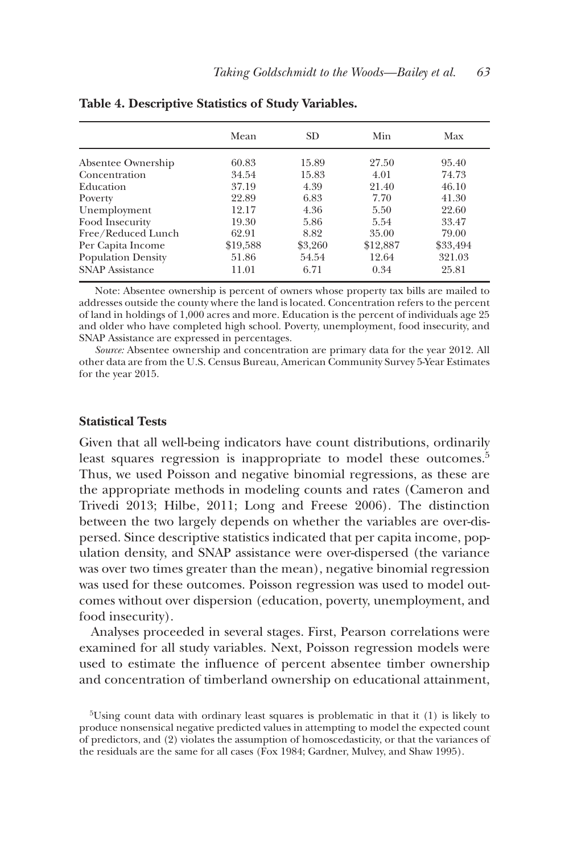|                           | Mean     | SD.     | Min      | Max      |
|---------------------------|----------|---------|----------|----------|
| Absentee Ownership        | 60.83    | 15.89   | 27.50    | 95.40    |
| Concentration             | 34.54    | 15.83   | 4.01     | 74.73    |
| Education                 | 37.19    | 4.39    | 21.40    | 46.10    |
| Poverty                   | 22.89    | 6.83    | 7.70     | 41.30    |
| Unemployment              | 12.17    | 4.36    | 5.50     | 22.60    |
| Food Insecurity           | 19.30    | 5.86    | 5.54     | 33.47    |
| Free/Reduced Lunch        | 62.91    | 8.82    | 35.00    | 79.00    |
| Per Capita Income         | \$19,588 | \$3,260 | \$12,887 | \$33,494 |
| <b>Population Density</b> | 51.86    | 54.54   | 12.64    | 321.03   |
| <b>SNAP Assistance</b>    | 11.01    | 6.71    | 0.34     | 25.81    |

**Table 4. Descriptive Statistics of Study Variables.**

Note: Absentee ownership is percent of owners whose property tax bills are mailed to addresses outside the county where the land is located. Concentration refers to the percent of land in holdings of 1,000 acres and more. Education is the percent of individuals age 25 and older who have completed high school. Poverty, unemployment, food insecurity, and SNAP Assistance are expressed in percentages.

*Source:* Absentee ownership and concentration are primary data for the year 2012. All other data are from the U.S. Census Bureau, American Community Survey 5-Year Estimates for the year 2015.

#### **Statistical Tests**

Given that all well-being indicators have count distributions, ordinarily least squares regression is inappropriate to model these outcomes.<sup>5</sup> Thus, we used Poisson and negative binomial regressions, as these are the appropriate methods in modeling counts and rates (Cameron and Trivedi 2013; Hilbe, 2011; Long and Freese 2006). The distinction between the two largely depends on whether the variables are over-dispersed. Since descriptive statistics indicated that per capita income, population density, and SNAP assistance were over-dispersed (the variance was over two times greater than the mean), negative binomial regression was used for these outcomes. Poisson regression was used to model outcomes without over dispersion (education, poverty, unemployment, and food insecurity).

Analyses proceeded in several stages. First, Pearson correlations were examined for all study variables. Next, Poisson regression models were used to estimate the influence of percent absentee timber ownership and concentration of timberland ownership on educational attainment,

 $5$ Using count data with ordinary least squares is problematic in that it (1) is likely to produce nonsensical negative predicted values in attempting to model the expected count of predictors, and (2) violates the assumption of homoscedasticity, or that the variances of the residuals are the same for all cases (Fox 1984; Gardner, Mulvey, and Shaw 1995).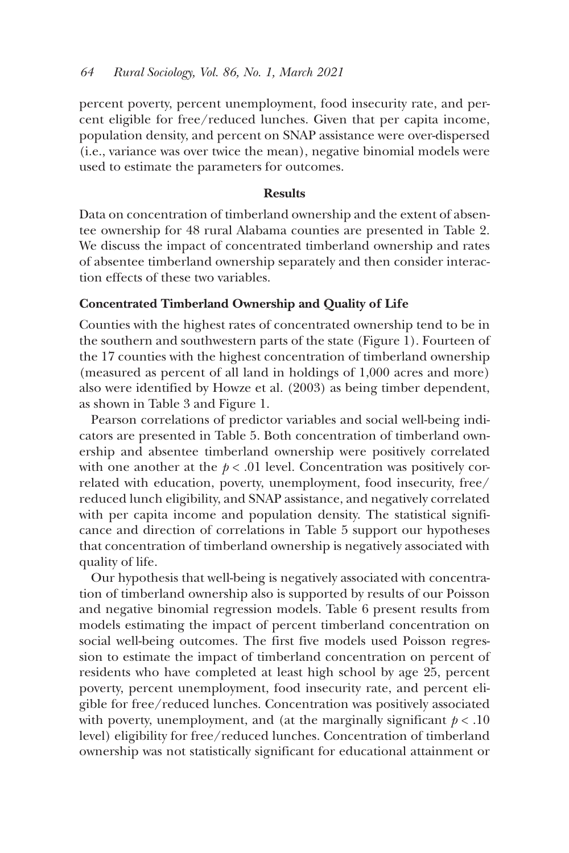percent poverty, percent unemployment, food insecurity rate, and percent eligible for free/reduced lunches. Given that per capita income, population density, and percent on SNAP assistance were over-dispersed (i.e., variance was over twice the mean), negative binomial models were used to estimate the parameters for outcomes.

## **Results**

Data on concentration of timberland ownership and the extent of absentee ownership for 48 rural Alabama counties are presented in Table 2. We discuss the impact of concentrated timberland ownership and rates of absentee timberland ownership separately and then consider interaction effects of these two variables.

#### **Concentrated Timberland Ownership and Quality of Life**

Counties with the highest rates of concentrated ownership tend to be in the southern and southwestern parts of the state (Figure 1). Fourteen of the 17 counties with the highest concentration of timberland ownership (measured as percent of all land in holdings of 1,000 acres and more) also were identified by Howze et al. (2003) as being timber dependent, as shown in Table 3 and Figure 1.

Pearson correlations of predictor variables and social well-being indicators are presented in Table 5. Both concentration of timberland ownership and absentee timberland ownership were positively correlated with one another at the  $p < .01$  level. Concentration was positively correlated with education, poverty, unemployment, food insecurity, free/ reduced lunch eligibility, and SNAP assistance, and negatively correlated with per capita income and population density. The statistical significance and direction of correlations in Table 5 support our hypotheses that concentration of timberland ownership is negatively associated with quality of life.

Our hypothesis that well-being is negatively associated with concentration of timberland ownership also is supported by results of our Poisson and negative binomial regression models. Table 6 present results from models estimating the impact of percent timberland concentration on social well-being outcomes. The first five models used Poisson regression to estimate the impact of timberland concentration on percent of residents who have completed at least high school by age 25, percent poverty, percent unemployment, food insecurity rate, and percent eligible for free/reduced lunches. Concentration was positively associated with poverty, unemployment, and (at the marginally significant  $p < .10$ ) level) eligibility for free/reduced lunches. Concentration of timberland ownership was not statistically significant for educational attainment or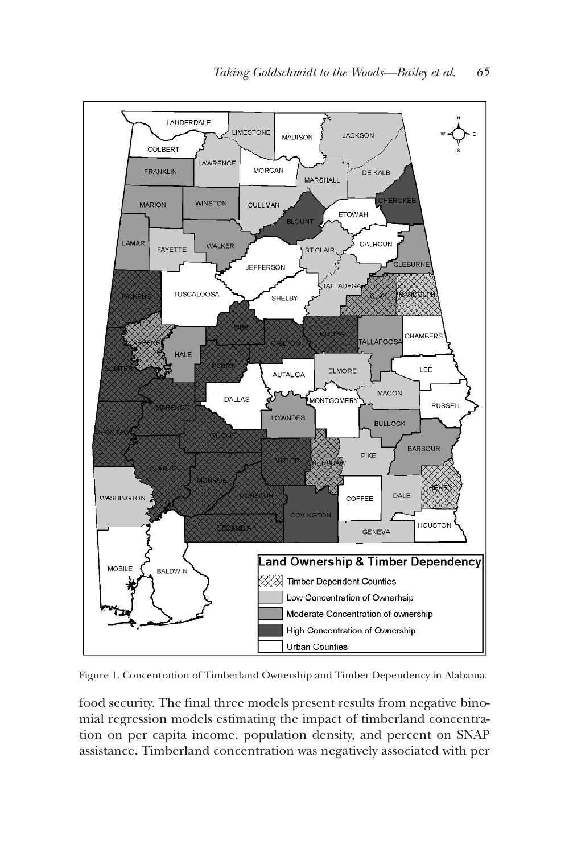

Figure 1. Concentration of Timberland Ownership and Timber Dependency in Alabama.

food security. The final three models present results from negative binomial regression models estimating the impact of timberland concentration on per capita income, population density, and percent on SNAP assistance. Timberland concentration was negatively associated with per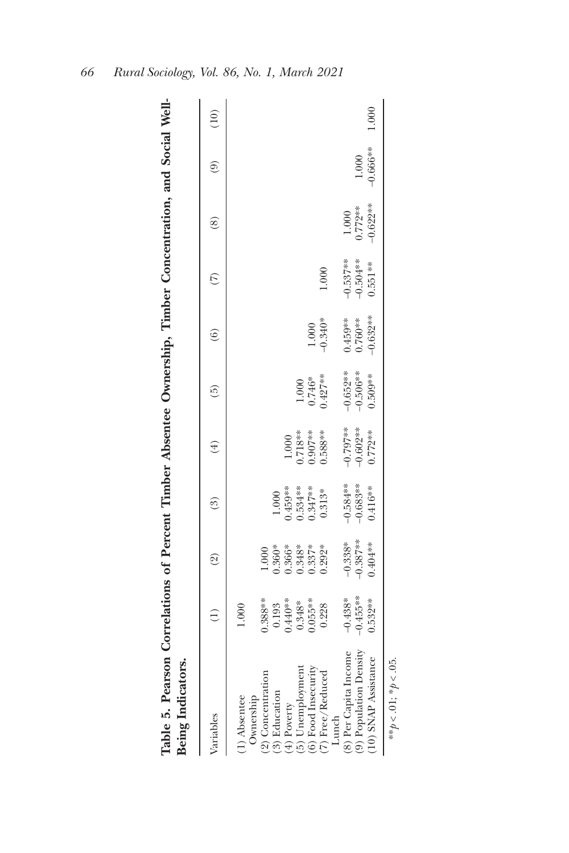| Table 5. Pearson Correlations of Percent Timber Absentee Ownership, Timber Concentration, and Social Well-<br>Being Indicators.                          |                                                                            |                                                              |                                                         |                                                   |                                        |                                      |                                       |                                  |                     |       |
|----------------------------------------------------------------------------------------------------------------------------------------------------------|----------------------------------------------------------------------------|--------------------------------------------------------------|---------------------------------------------------------|---------------------------------------------------|----------------------------------------|--------------------------------------|---------------------------------------|----------------------------------|---------------------|-------|
| Variables                                                                                                                                                |                                                                            | $\widehat{\mathbb{C}}$                                       | $\binom{3}{2}$                                          | $\left( 4\right)$                                 | $\widetilde{5}$                        | $\hat{e}$                            | $\widehat{\omega}$                    | $\circledast$                    | ම                   | (10)  |
| (6) Food Insecurity<br>(5) Unemployment<br>(7) Free/Reduced<br>(2) Concentration<br>(3) Education<br>Ownership<br>(1) Absentee<br>$(4)$ Poverty<br>Lunch | $0.388**$<br>$0.055**$<br>$0.440**$<br>$0.348*$<br>0.193<br>0.228<br>1.000 | ).366*<br>).348*<br>$0.292*$<br>$0.360*$<br>$0.337*$<br>0001 | $0.459***$<br>0.534***<br>0.347***<br>$0.313*$<br>1.000 | $0.718***$<br>$0.907***$<br>$0.588***$<br>$1.000$ | $0.427***$<br>$0.746*$<br>1.000        | $-0.340*$<br>1.000                   | 1.000                                 |                                  |                     |       |
| (8) Per Capita Income<br>(9) Population Density<br>(10) SNAP Assistance                                                                                  | $-0.455***$<br>$-0.438*$<br>$0.532***$                                     | $-0.387**$<br>$-0.338*$<br>$0.404***$                        | $-0.584**$<br>$-0.683**$<br>$0.416**$                   | $-0.797**$<br>$-0.602**$<br>$0.772**$             | $-0.652***$<br>$-0.506**$<br>$0.509**$ | $0.632***$<br>$0.459**$<br>$0.760**$ | $-0.537**$<br>$-0.504**$<br>$0.551**$ | $-0.622**$<br>$0.772**$<br>1.000 | $-0.666**$<br>1.000 | 1.000 |
| みそう こうこう こうじょう                                                                                                                                           |                                                                            |                                                              |                                                         |                                                   |                                        |                                      |                                       |                                  |                     |       |

\*\* $p < 0.01$ ; \* $p < 0.05$ .  $*^*p < .01; *p < .05$ .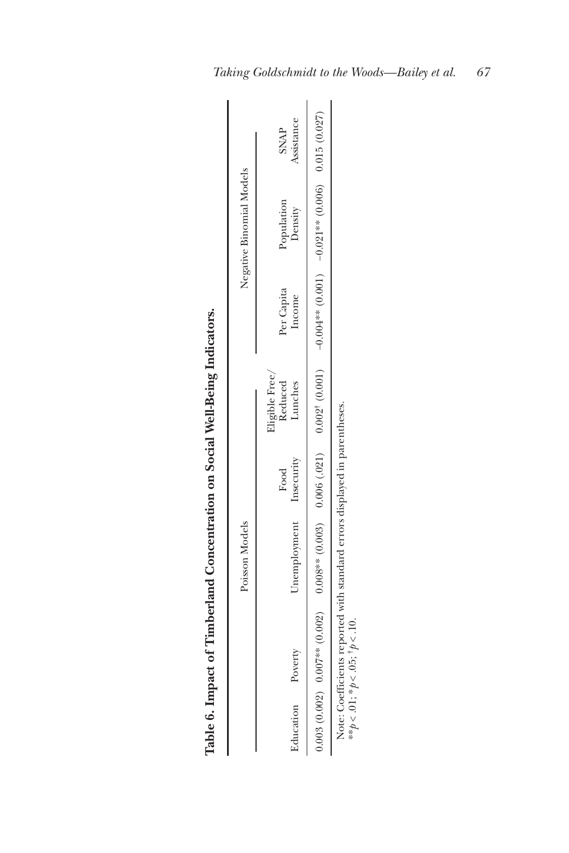|                   |                                            | Table 6. Impact of Timberland Concentration on Social Well-Being Indicators. |      |                                      |                      |                          |                           |
|-------------------|--------------------------------------------|------------------------------------------------------------------------------|------|--------------------------------------|----------------------|--------------------------|---------------------------|
|                   |                                            | Poisson Models                                                               |      |                                      |                      | Negative Binomial Models |                           |
| Education Poverty |                                            | Unemployment Insecurity                                                      | Food | Eligible Free/<br>Reduced<br>Lunches | Per Capita<br>Income | Population<br>Density    | Assistance<br><b>SNAP</b> |
|                   |                                            |                                                                              |      |                                      |                      |                          |                           |
|                   | ** $p < .01$ ; * $p < .05$ ; † $p < .10$ . | Note: Coefficients reported with standard errors displayed in parentheses.   |      |                                      |                      |                          |                           |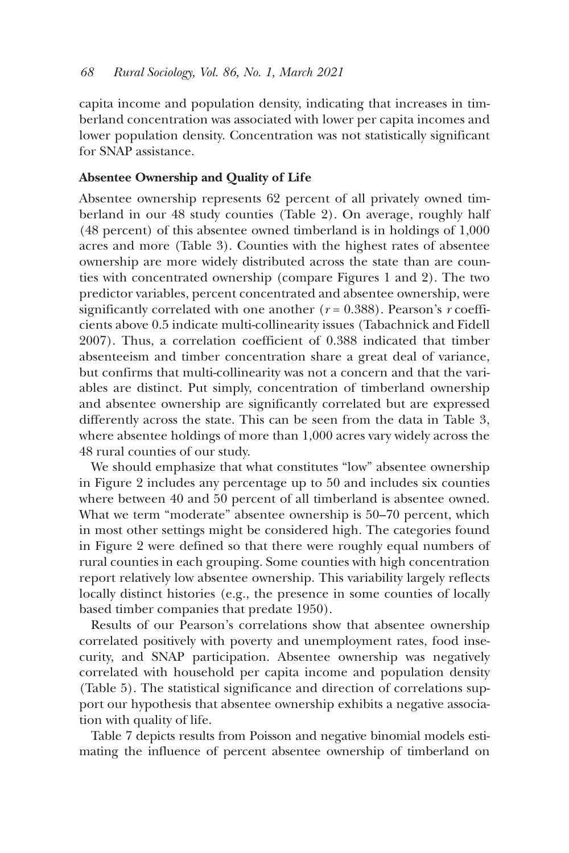capita income and population density, indicating that increases in timberland concentration was associated with lower per capita incomes and lower population density. Concentration was not statistically significant for SNAP assistance.

## **Absentee Ownership and Quality of Life**

Absentee ownership represents 62 percent of all privately owned timberland in our 48 study counties (Table 2). On average, roughly half (48 percent) of this absentee owned timberland is in holdings of 1,000 acres and more (Table 3). Counties with the highest rates of absentee ownership are more widely distributed across the state than are counties with concentrated ownership (compare Figures 1 and 2). The two predictor variables, percent concentrated and absentee ownership, were significantly correlated with one another  $(r = 0.388)$ . Pearson's *r* coefficients above 0.5 indicate multi-collinearity issues (Tabachnick and Fidell 2007). Thus, a correlation coefficient of 0.388 indicated that timber absenteeism and timber concentration share a great deal of variance, but confirms that multi-collinearity was not a concern and that the variables are distinct. Put simply, concentration of timberland ownership and absentee ownership are significantly correlated but are expressed differently across the state. This can be seen from the data in Table 3, where absentee holdings of more than 1,000 acres vary widely across the 48 rural counties of our study.

We should emphasize that what constitutes "low" absentee ownership in Figure 2 includes any percentage up to 50 and includes six counties where between 40 and 50 percent of all timberland is absentee owned. What we term "moderate" absentee ownership is 50–70 percent, which in most other settings might be considered high. The categories found in Figure 2 were defined so that there were roughly equal numbers of rural counties in each grouping. Some counties with high concentration report relatively low absentee ownership. This variability largely reflects locally distinct histories (e.g., the presence in some counties of locally based timber companies that predate 1950).

Results of our Pearson's correlations show that absentee ownership correlated positively with poverty and unemployment rates, food insecurity, and SNAP participation. Absentee ownership was negatively correlated with household per capita income and population density (Table 5). The statistical significance and direction of correlations support our hypothesis that absentee ownership exhibits a negative association with quality of life.

Table 7 depicts results from Poisson and negative binomial models estimating the influence of percent absentee ownership of timberland on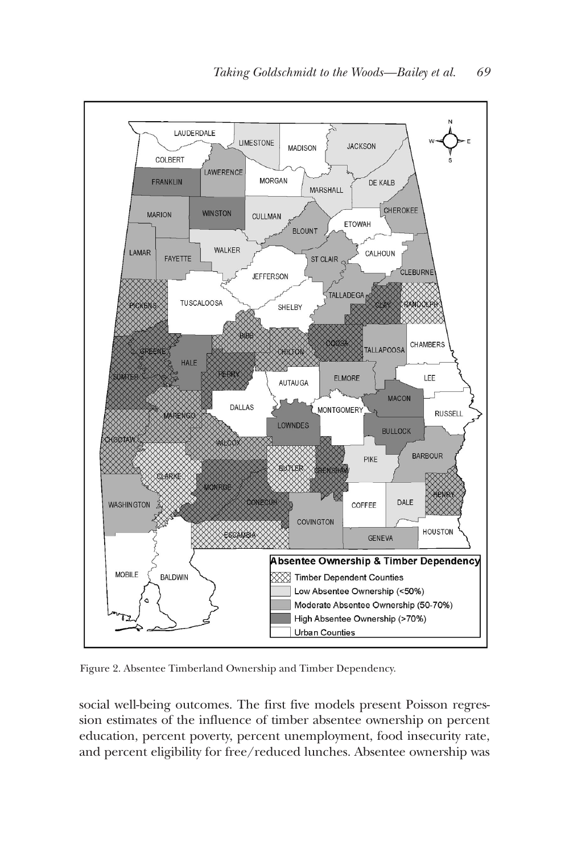

Figure 2. Absentee Timberland Ownership and Timber Dependency.

social well-being outcomes. The first five models present Poisson regression estimates of the influence of timber absentee ownership on percent education, percent poverty, percent unemployment, food insecurity rate, and percent eligibility for free/reduced lunches. Absentee ownership was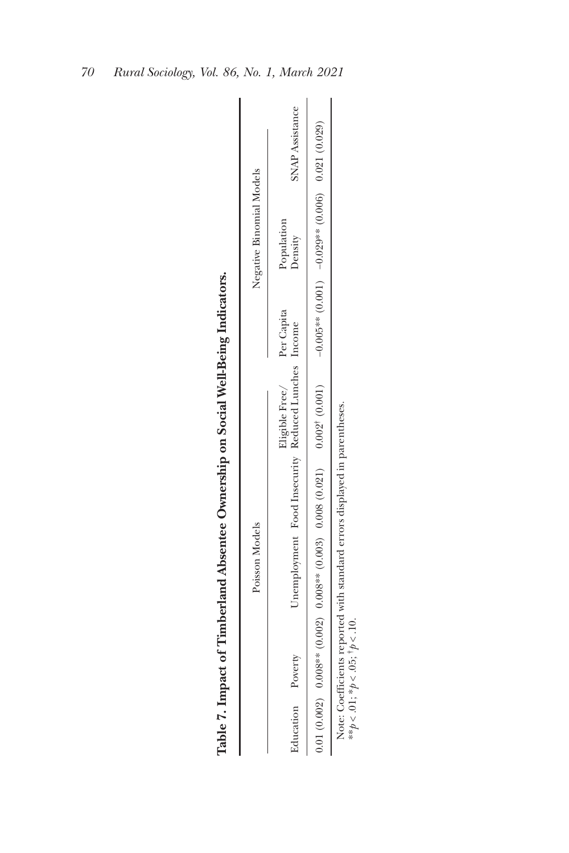|                   |                                                                            | Table 7. Impact of Timberland Absentee Ownership on Social Well-Being Indicators. |                          |                        |
|-------------------|----------------------------------------------------------------------------|-----------------------------------------------------------------------------------|--------------------------|------------------------|
|                   | Poisson Models                                                             |                                                                                   | Negative Binomial Models |                        |
| Education Poverty |                                                                            | Eligible Free/ Per Capita<br>Unemployment Food Insecurity Reduced Lunches Income  | Population<br>Density    | <b>SNAP Assistance</b> |
|                   |                                                                            |                                                                                   |                          |                        |
|                   | Note: Coefficients reported with standard errors displayed in parentheses. |                                                                                   |                          |                        |

 $**p < .01; *p < .05; *p < .10.$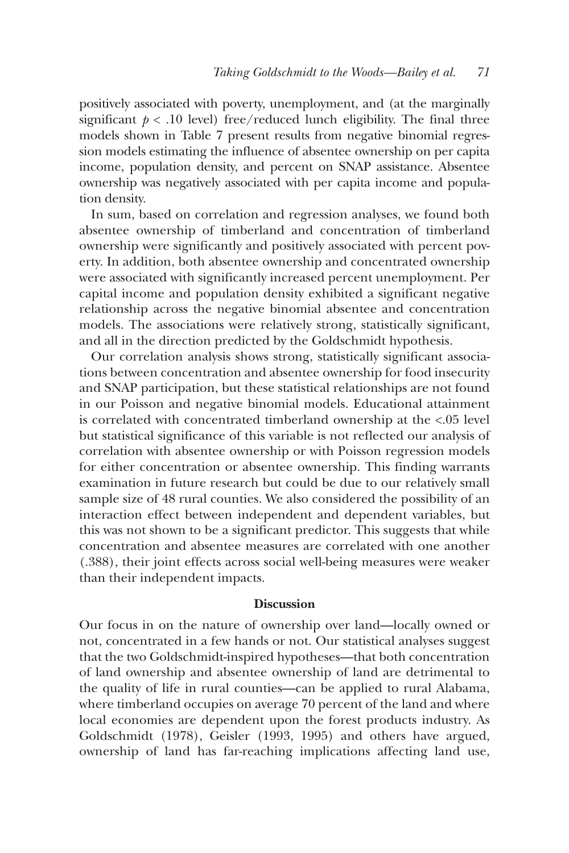positively associated with poverty, unemployment, and (at the marginally significant  $p < 0.10$  level) free/reduced lunch eligibility. The final three models shown in Table 7 present results from negative binomial regression models estimating the influence of absentee ownership on per capita income, population density, and percent on SNAP assistance. Absentee ownership was negatively associated with per capita income and population density.

In sum, based on correlation and regression analyses, we found both absentee ownership of timberland and concentration of timberland ownership were significantly and positively associated with percent poverty. In addition, both absentee ownership and concentrated ownership were associated with significantly increased percent unemployment. Per capital income and population density exhibited a significant negative relationship across the negative binomial absentee and concentration models. The associations were relatively strong, statistically significant, and all in the direction predicted by the Goldschmidt hypothesis.

Our correlation analysis shows strong, statistically significant associations between concentration and absentee ownership for food insecurity and SNAP participation, but these statistical relationships are not found in our Poisson and negative binomial models. Educational attainment is correlated with concentrated timberland ownership at the <.05 level but statistical significance of this variable is not reflected our analysis of correlation with absentee ownership or with Poisson regression models for either concentration or absentee ownership. This finding warrants examination in future research but could be due to our relatively small sample size of 48 rural counties. We also considered the possibility of an interaction effect between independent and dependent variables, but this was not shown to be a significant predictor. This suggests that while concentration and absentee measures are correlated with one another (.388), their joint effects across social well-being measures were weaker than their independent impacts.

## **Discussion**

Our focus in on the nature of ownership over land—locally owned or not, concentrated in a few hands or not. Our statistical analyses suggest that the two Goldschmidt-inspired hypotheses—that both concentration of land ownership and absentee ownership of land are detrimental to the quality of life in rural counties—can be applied to rural Alabama, where timberland occupies on average 70 percent of the land and where local economies are dependent upon the forest products industry. As Goldschmidt (1978), Geisler (1993, 1995) and others have argued, ownership of land has far-reaching implications affecting land use,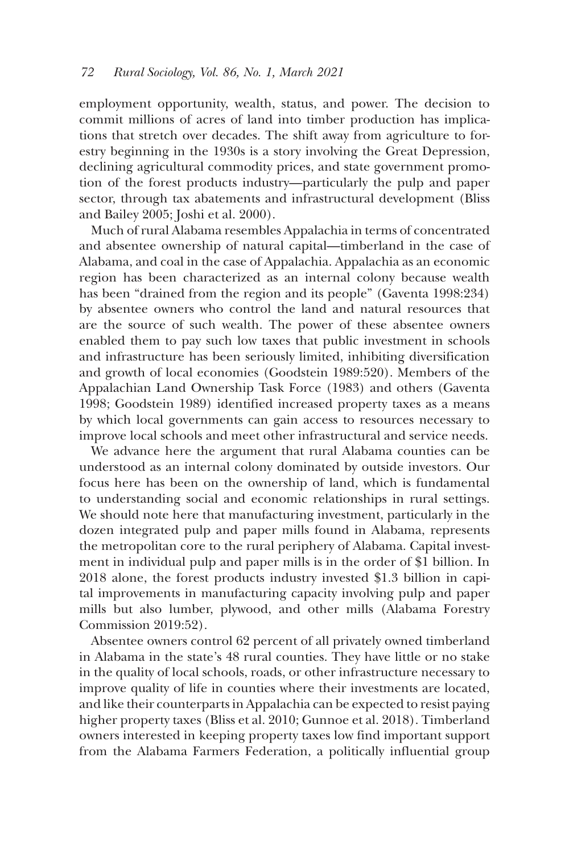employment opportunity, wealth, status, and power. The decision to commit millions of acres of land into timber production has implications that stretch over decades. The shift away from agriculture to forestry beginning in the 1930s is a story involving the Great Depression, declining agricultural commodity prices, and state government promotion of the forest products industry—particularly the pulp and paper sector, through tax abatements and infrastructural development (Bliss and Bailey 2005; Joshi et al. 2000).

Much of rural Alabama resembles Appalachia in terms of concentrated and absentee ownership of natural capital—timberland in the case of Alabama, and coal in the case of Appalachia. Appalachia as an economic region has been characterized as an internal colony because wealth has been "drained from the region and its people" (Gaventa 1998:234) by absentee owners who control the land and natural resources that are the source of such wealth. The power of these absentee owners enabled them to pay such low taxes that public investment in schools and infrastructure has been seriously limited, inhibiting diversification and growth of local economies (Goodstein 1989:520). Members of the Appalachian Land Ownership Task Force (1983) and others (Gaventa 1998; Goodstein 1989) identified increased property taxes as a means by which local governments can gain access to resources necessary to improve local schools and meet other infrastructural and service needs.

We advance here the argument that rural Alabama counties can be understood as an internal colony dominated by outside investors. Our focus here has been on the ownership of land, which is fundamental to understanding social and economic relationships in rural settings. We should note here that manufacturing investment, particularly in the dozen integrated pulp and paper mills found in Alabama, represents the metropolitan core to the rural periphery of Alabama. Capital investment in individual pulp and paper mills is in the order of \$1 billion. In 2018 alone, the forest products industry invested \$1.3 billion in capital improvements in manufacturing capacity involving pulp and paper mills but also lumber, plywood, and other mills (Alabama Forestry Commission 2019:52).

Absentee owners control 62 percent of all privately owned timberland in Alabama in the state's 48 rural counties. They have little or no stake in the quality of local schools, roads, or other infrastructure necessary to improve quality of life in counties where their investments are located, and like their counterparts in Appalachia can be expected to resist paying higher property taxes (Bliss et al. 2010; Gunnoe et al. 2018). Timberland owners interested in keeping property taxes low find important support from the Alabama Farmers Federation, a politically influential group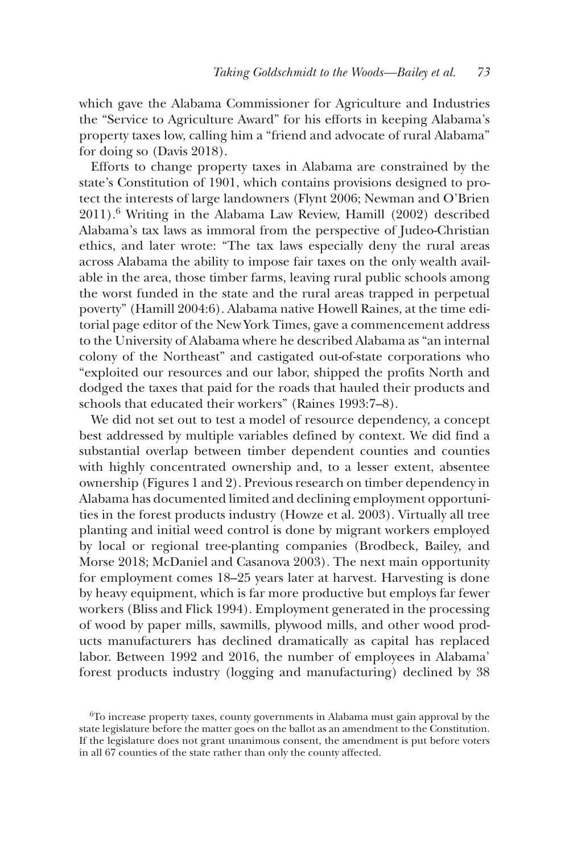which gave the Alabama Commissioner for Agriculture and Industries the "Service to Agriculture Award" for his efforts in keeping Alabama's property taxes low, calling him a "friend and advocate of rural Alabama" for doing so (Davis 2018).

Efforts to change property taxes in Alabama are constrained by the state's Constitution of 1901, which contains provisions designed to protect the interests of large landowners (Flynt 2006; Newman and O'Brien 2011).6 Writing in the Alabama Law Review, Hamill (2002) described Alabama's tax laws as immoral from the perspective of Judeo-Christian ethics, and later wrote: "The tax laws especially deny the rural areas across Alabama the ability to impose fair taxes on the only wealth available in the area, those timber farms, leaving rural public schools among the worst funded in the state and the rural areas trapped in perpetual poverty" (Hamill 2004:6). Alabama native Howell Raines, at the time editorial page editor of the New York Times, gave a commencement address to the University of Alabama where he described Alabama as "an internal colony of the Northeast" and castigated out-of-state corporations who "exploited our resources and our labor, shipped the profits North and dodged the taxes that paid for the roads that hauled their products and schools that educated their workers" (Raines 1993:7–8).

We did not set out to test a model of resource dependency, a concept best addressed by multiple variables defined by context. We did find a substantial overlap between timber dependent counties and counties with highly concentrated ownership and, to a lesser extent, absentee ownership (Figures 1 and 2). Previous research on timber dependency in Alabama has documented limited and declining employment opportunities in the forest products industry (Howze et al. 2003). Virtually all tree planting and initial weed control is done by migrant workers employed by local or regional tree-planting companies (Brodbeck, Bailey, and Morse 2018; McDaniel and Casanova 2003). The next main opportunity for employment comes 18–25 years later at harvest. Harvesting is done by heavy equipment, which is far more productive but employs far fewer workers (Bliss and Flick 1994). Employment generated in the processing of wood by paper mills, sawmills, plywood mills, and other wood products manufacturers has declined dramatically as capital has replaced labor. Between 1992 and 2016, the number of employees in Alabama' forest products industry (logging and manufacturing) declined by 38

<sup>6</sup>To increase property taxes, county governments in Alabama must gain approval by the state legislature before the matter goes on the ballot as an amendment to the Constitution. If the legislature does not grant unanimous consent, the amendment is put before voters in all 67 counties of the state rather than only the county affected.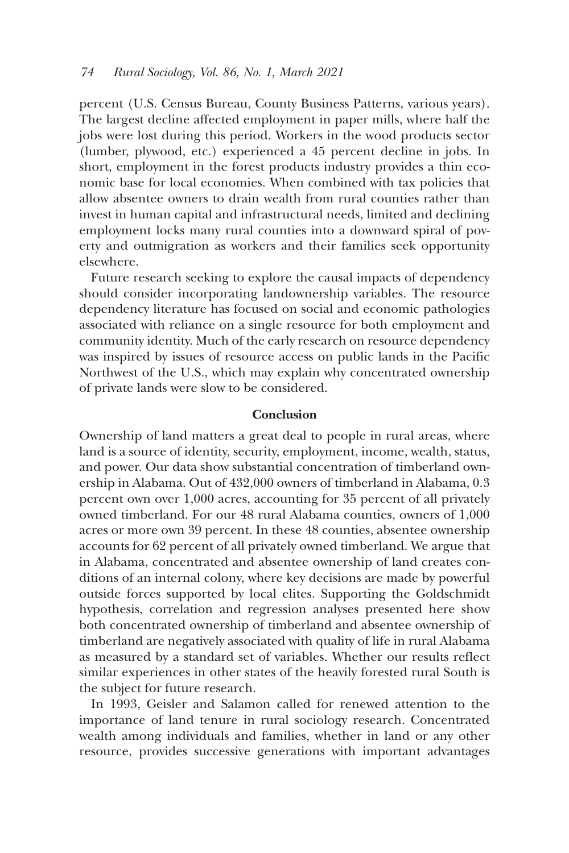percent (U.S. Census Bureau, County Business Patterns, various years). The largest decline affected employment in paper mills, where half the jobs were lost during this period. Workers in the wood products sector (lumber, plywood, etc.) experienced a 45 percent decline in jobs. In short, employment in the forest products industry provides a thin economic base for local economies. When combined with tax policies that allow absentee owners to drain wealth from rural counties rather than invest in human capital and infrastructural needs, limited and declining employment locks many rural counties into a downward spiral of poverty and outmigration as workers and their families seek opportunity elsewhere.

Future research seeking to explore the causal impacts of dependency should consider incorporating landownership variables. The resource dependency literature has focused on social and economic pathologies associated with reliance on a single resource for both employment and community identity. Much of the early research on resource dependency was inspired by issues of resource access on public lands in the Pacific Northwest of the U.S., which may explain why concentrated ownership of private lands were slow to be considered.

#### **Conclusion**

Ownership of land matters a great deal to people in rural areas, where land is a source of identity, security, employment, income, wealth, status, and power. Our data show substantial concentration of timberland ownership in Alabama. Out of 432,000 owners of timberland in Alabama, 0.3 percent own over 1,000 acres, accounting for 35 percent of all privately owned timberland. For our 48 rural Alabama counties, owners of 1,000 acres or more own 39 percent. In these 48 counties, absentee ownership accounts for 62 percent of all privately owned timberland. We argue that in Alabama, concentrated and absentee ownership of land creates conditions of an internal colony, where key decisions are made by powerful outside forces supported by local elites. Supporting the Goldschmidt hypothesis, correlation and regression analyses presented here show both concentrated ownership of timberland and absentee ownership of timberland are negatively associated with quality of life in rural Alabama as measured by a standard set of variables. Whether our results reflect similar experiences in other states of the heavily forested rural South is the subject for future research.

In 1993, Geisler and Salamon called for renewed attention to the importance of land tenure in rural sociology research. Concentrated wealth among individuals and families, whether in land or any other resource, provides successive generations with important advantages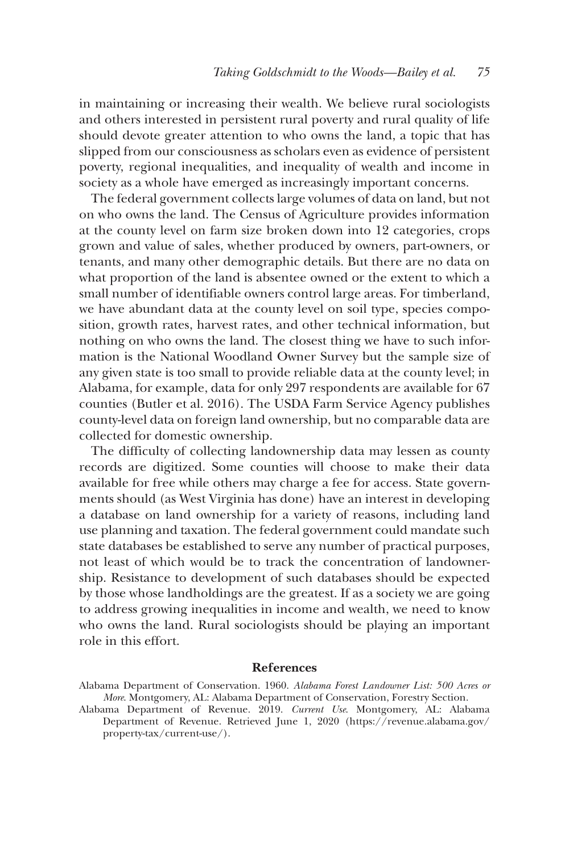in maintaining or increasing their wealth. We believe rural sociologists and others interested in persistent rural poverty and rural quality of life should devote greater attention to who owns the land, a topic that has slipped from our consciousness as scholars even as evidence of persistent poverty, regional inequalities, and inequality of wealth and income in society as a whole have emerged as increasingly important concerns.

The federal government collects large volumes of data on land, but not on who owns the land. The Census of Agriculture provides information at the county level on farm size broken down into 12 categories, crops grown and value of sales, whether produced by owners, part-owners, or tenants, and many other demographic details. But there are no data on what proportion of the land is absentee owned or the extent to which a small number of identifiable owners control large areas. For timberland, we have abundant data at the county level on soil type, species composition, growth rates, harvest rates, and other technical information, but nothing on who owns the land. The closest thing we have to such information is the National Woodland Owner Survey but the sample size of any given state is too small to provide reliable data at the county level; in Alabama, for example, data for only 297 respondents are available for 67 counties (Butler et al. 2016). The USDA Farm Service Agency publishes county-level data on foreign land ownership, but no comparable data are collected for domestic ownership.

The difficulty of collecting landownership data may lessen as county records are digitized. Some counties will choose to make their data available for free while others may charge a fee for access. State governments should (as West Virginia has done) have an interest in developing a database on land ownership for a variety of reasons, including land use planning and taxation. The federal government could mandate such state databases be established to serve any number of practical purposes, not least of which would be to track the concentration of landownership. Resistance to development of such databases should be expected by those whose landholdings are the greatest. If as a society we are going to address growing inequalities in income and wealth, we need to know who owns the land. Rural sociologists should be playing an important role in this effort.

#### **References**

Alabama Department of Conservation. 1960. *Alabama Forest Landowner List: 500 Acres or More*. Montgomery, AL: Alabama Department of Conservation, Forestry Section.

Alabama Department of Revenue. 2019. *Current Use*. Montgomery, AL: Alabama Department of Revenue. Retrieved June 1, 2020 [\(https://revenue.alabama.gov/](https://revenue.alabama.gov/property-tax/current-use/) [property-tax/current-use/](https://revenue.alabama.gov/property-tax/current-use/)).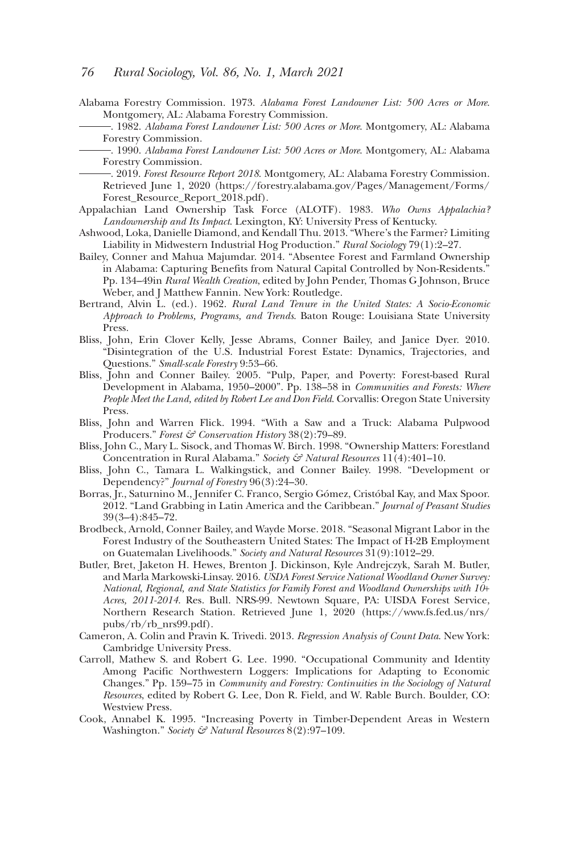- Alabama Forestry Commission. 1973. *Alabama Forest Landowner List: 500 Acres or More*. Montgomery, AL: Alabama Forestry Commission.<br>—. 1982. *Alabama Forest Landowner List: 500 Acres or More.* Montgomery, AL: Alabama
	- Forestry Commission.<br>- 1990. *Alabama Forest Landowner List: 500 Acres or More*. Montgomery, AL: Alabama
	- Forestry Commission.<br>- 2019. *Forest Resource Report 2018*. Montgomery, AL: Alabama Forestry Commission.
	- Retrieved June 1, 2020 [\(https://forestry.alabama.gov/Pages/Management/Forms/](https://forestry.alabama.gov/Pages/Management/Forms/Forest_Resource_Report_2018.pdf) [Forest\\_Resource\\_Report\\_2018.pdf](https://forestry.alabama.gov/Pages/Management/Forms/Forest_Resource_Report_2018.pdf)).
- Appalachian Land Ownership Task Force (ALOTF). 1983. *Who Owns Appalachia? Landownership and Its Impact*. Lexington, KY: University Press of Kentucky.
- Ashwood, Loka, Danielle Diamond, and Kendall Thu. 2013. "Where's the Farmer? Limiting Liability in Midwestern Industrial Hog Production." *Rural Sociology* 79(1):2–27.
- Bailey, Conner and Mahua Majumdar. 2014. "Absentee Forest and Farmland Ownership in Alabama: Capturing Benefits from Natural Capital Controlled by Non-Residents." Pp. 134–49in *Rural Wealth Creation*, edited by John Pender, Thomas G Johnson, Bruce Weber, and J Matthew Fannin. New York: Routledge.
- Bertrand, Alvin L. (ed.). 1962. *Rural Land Tenure in the United States: A Socio-Economic Approach to Problems, Programs, and Trends*. Baton Rouge: Louisiana State University Press.
- Bliss, John, Erin Clover Kelly, Jesse Abrams, Conner Bailey, and Janice Dyer. 2010. 'Disintegration of the U.S. Industrial Forest Estate: Dynamics, Trajectories, and Questions." *Small-scale Forestry* 9:53–66.
- Bliss, John and Conner Bailey. 2005. "Pulp, Paper, and Poverty: Forest-based Rural Development in Alabama, 1950–2000". Pp. 138–58 in *Communities and Forests: Where People Meet the Land, edited by Robert Lee and Don Field*. Corvallis: Oregon State University Press.
- Bliss, John and Warren Flick. 1994. "With a Saw and a Truck: Alabama Pulpwood Producers." *Forest & Conservation History* 38(2):79–89.
- Bliss, John C., Mary L. Sisock, and Thomas W. Birch. 1998. "Ownership Matters: Forestland Concentration in Rural Alabama." *Society & Natural Resources* 11(4):401–10.
- Bliss, John C., Tamara L. Walkingstick, and Conner Bailey. 1998. "Development or Dependency?" *Journal of Forestry* 96(3):24–30.
- Borras, Jr., Saturnino M., Jennifer C. Franco, Sergio Gómez, Cristóbal Kay, and Max Spoor. 2012. "Land Grabbing in Latin America and the Caribbean." *Journal of Peasant Studies* 39(3–4):845–72.
- Brodbeck, Arnold, Conner Bailey, and Wayde Morse. 2018. "Seasonal Migrant Labor in the Forest Industry of the Southeastern United States: The Impact of H-2B Employment on Guatemalan Livelihoods." *Society and Natural Resources* 31(9):1012–29.
- Butler, Bret, Jaketon H. Hewes, Brenton J. Dickinson, Kyle Andrejczyk, Sarah M. Butler, and Marla Markowski-Linsay. 2016. *USDA Forest Service National Woodland Owner Survey: National, Regional, and State Statistics for Family Forest and Woodland Ownerships with 10*+ *Acres, 2011-2014*. Res. Bull. NRS-99. Newtown Square, PA: UISDA Forest Service, Northern Research Station. Retrieved June 1, 2020 ([https://www.fs.fed.us/nrs/](https://www.fs.fed.us/nrs/pubs/rb/rb_nrs99.pdf) [pubs/rb/rb\\_nrs99.pdf](https://www.fs.fed.us/nrs/pubs/rb/rb_nrs99.pdf)).
- Cameron, A. Colin and Pravin K. Trivedi. 2013. *Regression Analysis of Count Data*. New York: Cambridge University Press.
- Carroll, Mathew S. and Robert G. Lee. 1990. "Occupational Community and Identity Among Pacific Northwestern Loggers: Implications for Adapting to Economic Changes." Pp. 159–75 in *Community and Forestry: Continuities in the Sociology of Natural Resources*, edited by Robert G. Lee, Don R. Field, and W. Rable Burch. Boulder, CO: Westview Press.
- Cook, Annabel K. 1995. "Increasing Poverty in Timber-Dependent Areas in Western Washington." *Society & Natural Resources* 8(2):97–109.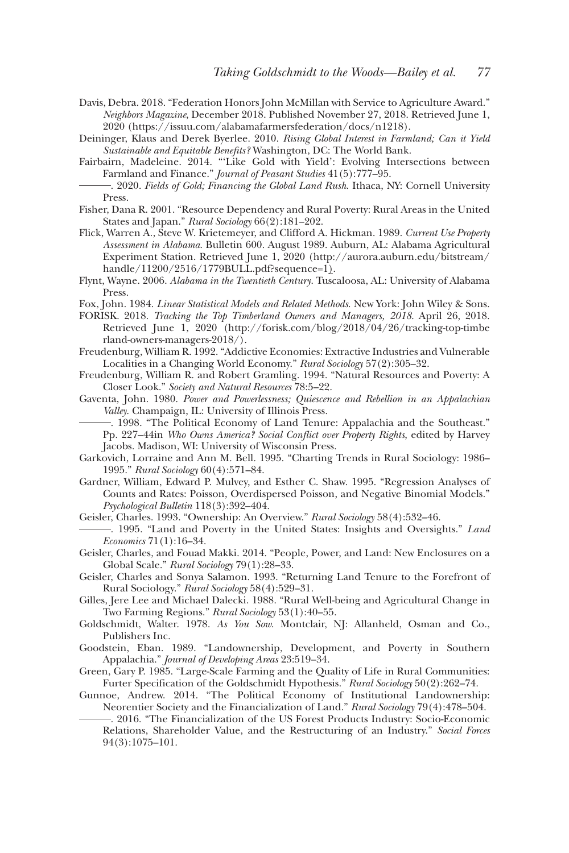- Davis, Debra. 2018. "Federation Honors John McMillan with Service to Agriculture Award." *Neighbors Magazine*, December 2018. Published November 27, 2018. Retrieved June 1, 2020 [\(https://issuu.com/alabamafarmersfederation/docs/n1218](https://issuu.com/alabamafarmersfederation/docs/n1218)).
- Deininger, Klaus and Derek Byerlee. 2010. *Rising Global Interest in Farmland; Can it Yield Sustainable and Equitable Benefits?* Washington, DC: The World Bank.
- Fairbairn, Madeleine. 2014. "'Like Gold with Yield': Evolving Intersections between Farmland and Finance." Journal of Peasant Studies 41(5):777-95.
- Farmland and Finance." *Journal of Peasant Studies* 41(5):777–95. . 2020. *Fields of Gold; Financing the Global Land Rush*. Ithaca, NY: Cornell University Press.
- Fisher, Dana R. 2001. "Resource Dependency and Rural Poverty: Rural Areas in the United States and Japan." *Rural Sociology* 66(2):181–202.
- Flick, Warren A., Steve W. Krietemeyer, and Clifford A. Hickman. 1989. *Current Use Property Assessment in Alabama*. Bulletin 600. August 1989. Auburn, AL: Alabama Agricultural Experiment Station. Retrieved June 1, 2020 ([http://aurora.auburn.edu/bitstream/](http://aurora.auburn.edu/bitstream/handle/11200/2516/1779BULL.pdf?sequence=1) [handle/11200/2516/1779BULL.pdf?sequence=1](http://aurora.auburn.edu/bitstream/handle/11200/2516/1779BULL.pdf?sequence=1)).
- Flynt, Wayne. 2006. *Alabama in the Twentieth Century*. Tuscaloosa, AL: University of Alabama Press.

Fox, John. 1984. *Linear Statistical Models and Related Methods*. New York: John Wiley & Sons.

- FORISK. 2018. *Tracking the Top Timberland Owners and Managers, 2018*. April 26, 2018. Retrieved June 1, 2020 [\(http://forisk.com/blog/2018/04/26/tracking-top-timbe](http://forisk.com/blog/2018/04/26/tracking-top-timberland-owners-managers-2018/) [rland-owners-managers-2018/\)](http://forisk.com/blog/2018/04/26/tracking-top-timberland-owners-managers-2018/).
- Freudenburg, William R. 1992. "Addictive Economies: Extractive Industries and Vulnerable Localities in a Changing World Economy." *Rural Sociology* 57(2):305–32.
- Freudenburg, William R. and Robert Gramling. 1994. "Natural Resources and Poverty: A Closer Look." *Society and Natural Resources* 78:5–22.
- Gaventa, John. 1980. *Power and Powerlessness; Quiescence and Rebellion in an Appalachian Valley*. Champaign, IL: University of Illinois Press.<br>- 1998. "The Political Economy of Land Tenure: Appalachia and the Southeast."
	- Pp. 227–44in *Who Owns America? Social Conflict over Property Rights*, edited by Harvey Jacobs. Madison, WI: University of Wisconsin Press.
- Garkovich, Lorraine and Ann M. Bell. 1995. "Charting Trends in Rural Sociology: 1986– 1995." *Rural Sociology* 60(4):571–84.
- Gardner, William, Edward P. Mulvey, and Esther C. Shaw. 1995. "Regression Analyses of Counts and Rates: Poisson, Overdispersed Poisson, and Negative Binomial Models." *Psychological Bulletin* 118(3):392–404.
- 
- Geisler, Charles. <sup>2</sup> and and Poverty in the United States: Insights and Oversights." *Land* 2014. The United States: Insights and Oversights." *Land Economics* 71(1):16–34.
- Geisler, Charles, and Fouad Makki. 2014. "People, Power, and Land: New Enclosures on a Global Scale." *Rural Sociology* 79(1):28–33.
- Geisler, Charles and Sonya Salamon. 1993. "Returning Land Tenure to the Forefront of Rural Sociology." *Rural Sociology* 58(4):529–31.
- Gilles, Jere Lee and Michael Dalecki. 1988. "Rural Well-being and Agricultural Change in Two Farming Regions." *Rural Sociology* 53(1):40–55.
- Goldschmidt, Walter. 1978. *As You Sow*. Montclair, NJ: Allanheld, Osman and Co., Publishers Inc.
- Goodstein, Eban. 1989. "Landownership, Development, and Poverty in Southern Appalachia." *Journal of Developing Areas* 23:519–34.
- Green, Gary P. 1985. "Large-Scale Farming and the Quality of Life in Rural Communities: Furter Specification of the Goldschmidt Hypothesis." *Rural Sociology* 50(2):262–74.
- Gunnoe, Andrew. 2014. "The Political Economy of Institutional Landownership:
	- Neorentier Society and the Financialization of Land." *Rural Sociology* 79(4):478–504.<br>- 2016. "The Financialization of the US Forest Products Industry: Socio-Economic Relations, Shareholder Value, and the Restructuring of an Industry." *Social Forces* 94(3):1075–101.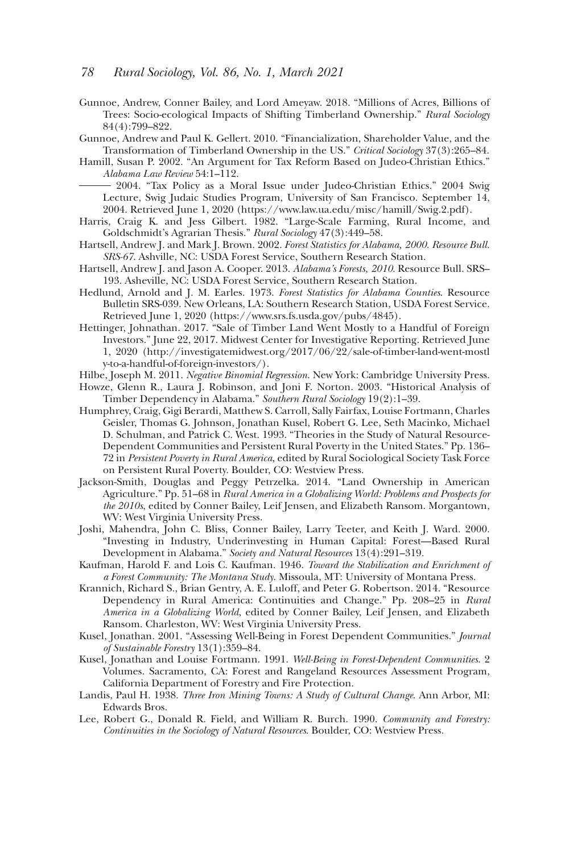#### *78 Rural Sociology, Vol. 86, No. 1, March 2021*

Gunnoe, Andrew, Conner Bailey, and Lord Ameyaw. 2018. "Millions of Acres, Billions of Trees: Socio-ecological Impacts of Shifting Timberland Ownership." *Rural Sociology* 84(4):799–822.

Gunnoe, Andrew and Paul K. Gellert. 2010. "Financialization, Shareholder Value, and the Transformation of Timberland Ownership in the US." *Critical Sociology* 37(3):265–84.

Hamill, Susan P. 2002. "An Argument for Tax Reform Based on Judeo-Christian Ethics." *Alabama Law Review* 54:1–112. 2004. "Tax Policy as a Moral Issue under Judeo-Christian Ethics." 2004 Swig

Lecture, Swig Judaic Studies Program, University of San Francisco. September 14, 2004. Retrieved June 1, 2020 [\(https://www.law.ua.edu/misc/hamill/Swig.2.pdf](https://www.law.ua.edu/misc/hamill/Swig.2.pdf)).

- Harris, Craig K. and Jess Gilbert. 1982. "Large-Scale Farming, Rural Income, and Goldschmidt's Agrarian Thesis." *Rural Sociology* 47(3):449–58.
- Hartsell, Andrew J. and Mark J. Brown. 2002. *Forest Statistics for Alabama, 2000. Resource Bull. SRS-67*. Ashville, NC: USDA Forest Service, Southern Research Station.
- Hartsell, Andrew J. and Jason A. Cooper. 2013. *Alabama's Forests, 2010*. Resource Bull. SRS– 193. Asheville, NC: USDA Forest Service, Southern Research Station.
- Hedlund, Arnold and J. M. Earles. 1973. *Forest Statistics for Alabama Counties*. Resource Bulletin SRS-039. New Orleans, LA: Southern Research Station, USDA Forest Service. Retrieved June 1, 2020 [\(https://www.srs.fs.usda.gov/pubs/4845](https://www.srs.fs.usda.gov/pubs/4845)).
- Hettinger, Johnathan. 2017. "Sale of Timber Land Went Mostly to a Handful of Foreign Investors." June 22, 2017. Midwest Center for Investigative Reporting. Retrieved June 1, 2020 ([http://investigatemidwest.org/2017/06/22/sale-of-timber-land-went-mostl](http://investigatemidwest.org/2017/06/22/sale-of-timber-land-went-mostly-to-a-handful-of-foreign-investors/) [y-to-a-handful-of-foreign-investors/\)](http://investigatemidwest.org/2017/06/22/sale-of-timber-land-went-mostly-to-a-handful-of-foreign-investors/).

Hilbe, Joseph M. 2011. *Negative Binomial Regression*. New York: Cambridge University Press.

- Howze, Glenn R., Laura J. Robinson, and Joni F. Norton. 2003. "Historical Analysis of Timber Dependency in Alabama." *Southern Rural Sociology* 19(2):1–39.
- Humphrey, Craig, Gigi Berardi, Matthew S. Carroll, Sally Fairfax, Louise Fortmann, Charles Geisler, Thomas G. Johnson, Jonathan Kusel, Robert G. Lee, Seth Macinko, Michael D. Schulman, and Patrick C. West. 1993. "Theories in the Study of Natural Resource-Dependent Communities and Persistent Rural Poverty in the United States." Pp. 136– 72 in *Persistent Poverty in Rural America*, edited by Rural Sociological Society Task Force on Persistent Rural Poverty. Boulder, CO: Westview Press.
- Jackson-Smith, Douglas and Peggy Petrzelka. 2014. "Land Ownership in American Agriculture." Pp. 51–68 in *Rural America in a Globalizing World: Problems and Prospects for the 2010s*, edited by Conner Bailey, Leif Jensen, and Elizabeth Ransom. Morgantown, WV: West Virginia University Press.
- Joshi, Mahendra, John C. Bliss, Conner Bailey, Larry Teeter, and Keith J. Ward. 2000. "Investing in Industry, Underinvesting in Human Capital: Forest—Based Rural Development in Alabama." *Society and Natural Resources* 13(4):291–319.
- Kaufman, Harold F. and Lois C. Kaufman. 1946. *Toward the Stabilization and Enrichment of a Forest Community: The Montana Study*. Missoula, MT: University of Montana Press.
- Krannich, Richard S., Brian Gentry, A. E. Luloff, and Peter G. Robertson. 2014. "Resource Dependency in Rural America: Continuities and Change." Pp. 208–25 in *Rural America in a Globalizing World*, edited by Conner Bailey, Leif Jensen, and Elizabeth Ransom. Charleston, WV: West Virginia University Press.
- Kusel, Jonathan. 2001. "Assessing Well-Being in Forest Dependent Communities." *Journal of Sustainable Forestry* 13(1):359–84.
- Kusel, Jonathan and Louise Fortmann. 1991. *Well-Being in Forest-Dependent Communities*. 2 Volumes. Sacramento, CA: Forest and Rangeland Resources Assessment Program, California Department of Forestry and Fire Protection.
- Landis, Paul H. 1938. *Three Iron Mining Towns: A Study of Cultural Change*. Ann Arbor, MI: Edwards Bros.
- Lee, Robert G., Donald R. Field, and William R. Burch. 1990. *Community and Forestry: Continuities in the Sociology of Natural Resources*. Boulder, CO: Westview Press.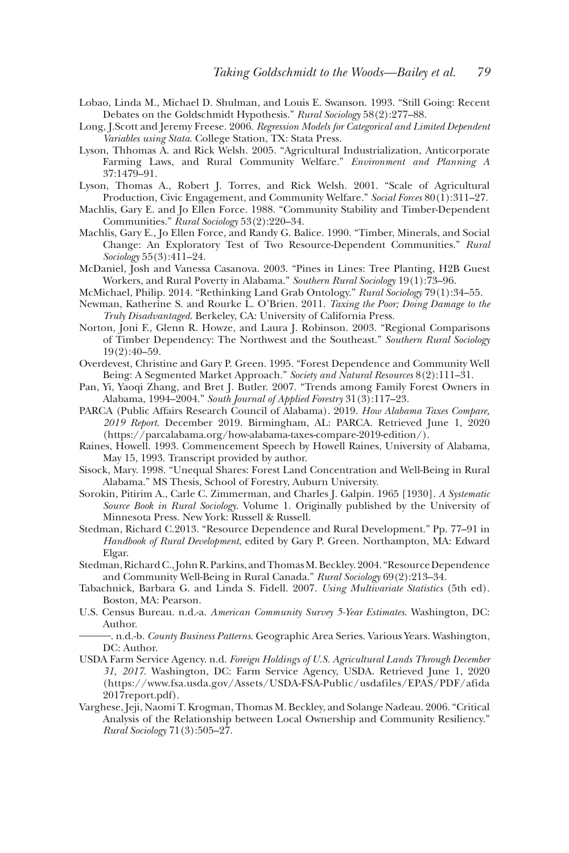- Lobao, Linda M., Michael D. Shulman, and Louis E. Swanson. 1993. "Still Going: Recent Debates on the Goldschmidt Hypothesis." *Rural Sociology* 58(2):277–88.
- Long, J.Scott and Jeremy Freese. 2006. *Regression Models for Categorical and Limited Dependent Variables using Stata*. College Station, TX: Stata Press.
- Lyson, Thhomas A. and Rick Welsh. 2005. "Agricultural Industrialization, Anticorporate Farming Laws, and Rural Community Welfare." *Environment and Planning A* 37:1479–91.
- Lyson, Thomas A., Robert J. Torres, and Rick Welsh. 2001. "Scale of Agricultural Production, Civic Engagement, and Community Welfare." *Social Forces* 80(1):311–27.
- Machlis, Gary E. and Jo Ellen Force. 1988. "Community Stability and Timber-Dependent Communities." *Rural Sociology* 53(2):220–34.
- Machlis, Gary E., Jo Ellen Force, and Randy G. Balice. 1990. "Timber, Minerals, and Social Change: An Exploratory Test of Two Resource-Dependent Communities." *Rural Sociology* 55(3):411–24.
- McDaniel, Josh and Vanessa Casanova. 2003. "Pines in Lines: Tree Planting, H2B Guest Workers, and Rural Poverty in Alabama." *Southern Rural Sociology* 19(1):73–96.
- McMichael, Philip. 2014. "Rethinking Land Grab Ontology." *Rural Sociology* 79(1):34–55.
- Newman, Katherine S. and Rourke L. O'Brien. 2011. *Taxing the Poor; Doing Damage to the Truly Disadvantaged*. Berkeley, CA: University of California Press.
- Norton, Joni F., Glenn R. Howze, and Laura J. Robinson. 2003. "Regional Comparisons of Timber Dependency: The Northwest and the Southeast." *Southern Rural Sociology* 19(2):40–59.
- Overdevest, Christine and Gary P. Green. 1995. "Forest Dependence and Community Well Being: A Segmented Market Approach." *Society and Natural Resources* 8(2):111–31.
- Pan, Yi, Yaoqi Zhang, and Bret J. Butler. 2007. "Trends among Family Forest Owners in Alabama, 1994–2004." *South Journal of Applied Forestry* 31(3):117–23.
- PARCA (Public Affairs Research Council of Alabama). 2019. *How Alabama Taxes Compare, 2019 Report*. December 2019. Birmingham, AL: PARCA. Retrieved June 1, 2020 ([https://parcalabama.org/how-alabama-taxes-compare-2019-edition/\)](https://parcalabama.org/how-alabama-taxes-compare-2019-edition/).
- Raines, Howell. 1993. Commencement Speech by Howell Raines, University of Alabama, May 15, 1993. Transcript provided by author.
- Sisock, Mary. 1998. "Unequal Shares: Forest Land Concentration and Well-Being in Rural Alabama." MS Thesis, School of Forestry, Auburn University.
- Sorokin, Pitirim A., Carle C. Zimmerman, and Charles J. Galpin. 1965 [1930]. *A Systematic Source Book in Rural Sociology*. Volume 1. Originally published by the University of Minnesota Press. New York: Russell & Russell.
- Stedman, Richard C.2013. "Resource Dependence and Rural Development." Pp. 77–91 in *Handbook of Rural Development*, edited by Gary P. Green. Northampton, MA: Edward Elgar.
- Stedman, Richard C., John R. Parkins, and Thomas M. Beckley. 2004. "Resource Dependence and Community Well-Being in Rural Canada." *Rural Sociology* 69(2):213–34.
- Tabachnick, Barbara G. and Linda S. Fidell. 2007. *Using Multivariate Statistics* (5th ed). Boston, MA: Pearson.
- U.S. Census Bureau. n.d.-a. *American Community Survey 5-Year Estimates*. Washington, DC: Author.<br>- . n.d.-b. *County Business Patterns*. Geographic Area Series. Various Years. Washington,
	- DC: Author.
- USDA Farm Service Agency. n.d. *Foreign Holdings of U.S. Agricultural Lands Through December 31, 2017*. Washington, DC: Farm Service Agency, USDA. Retrieved June 1, 2020 ([https://www.fsa.usda.gov/Assets/USDA-FSA-Public/usdafiles/EPAS/PDF/afida](https://www.fsa.usda.gov/Assets/USDA-FSA-Public/usdafiles/EPAS/PDF/afida2017report.pdf) [2017report.pdf\)](https://www.fsa.usda.gov/Assets/USDA-FSA-Public/usdafiles/EPAS/PDF/afida2017report.pdf).
- Varghese, Jeji, Naomi T. Krogman, Thomas M. Beckley, and Solange Nadeau. 2006. "Critical Analysis of the Relationship between Local Ownership and Community Resiliency." *Rural Sociology* 71(3):505–27.